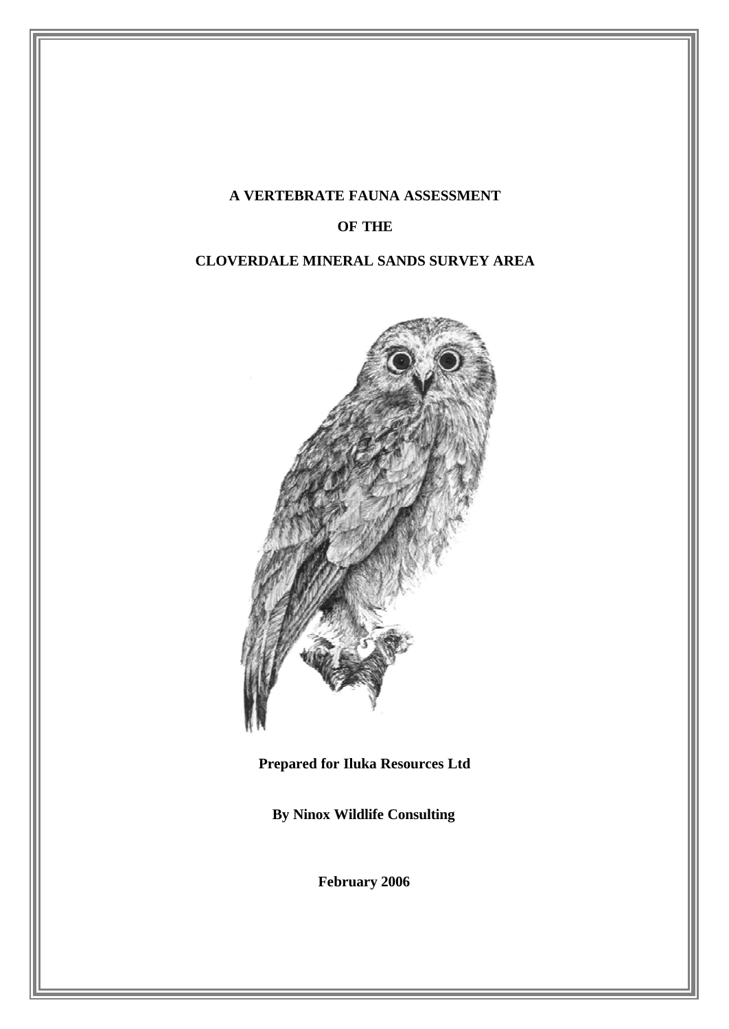## **A VERTEBRATE FAUNA ASSESSMENT**

## **OF THE**

## **CLOVERDALE MINERAL SANDS SURVEY AREA**



# **Prepared for Iluka Resources Ltd**

**By Ninox Wildlife Consulting**

**February 2006**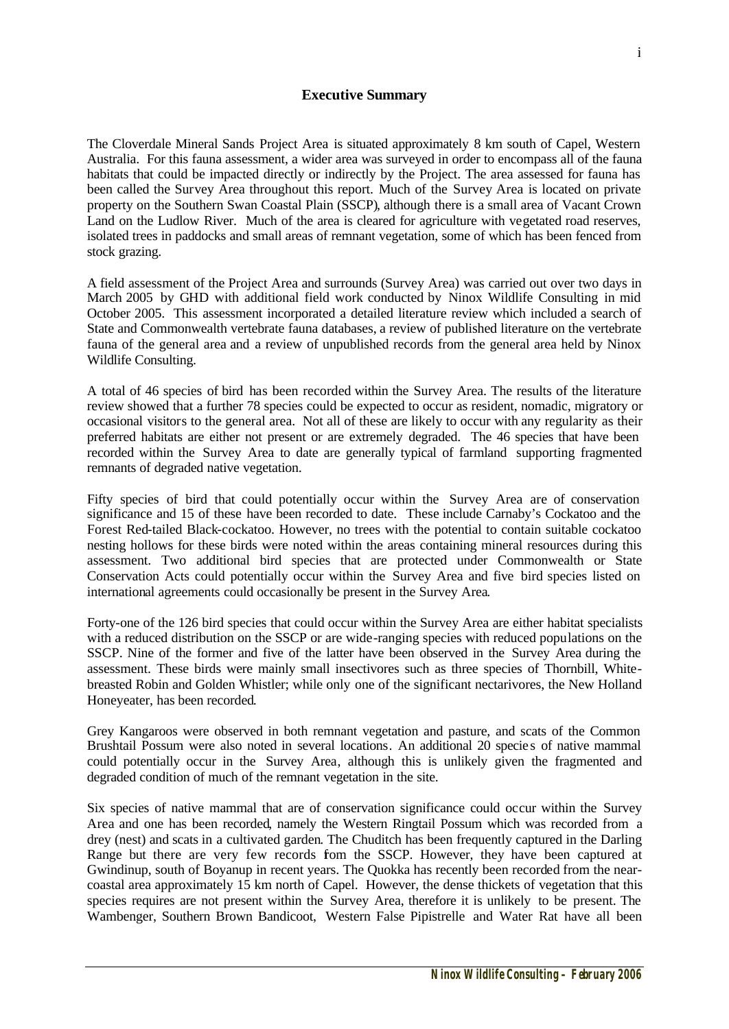### **Executive Summary**

The Cloverdale Mineral Sands Project Area is situated approximately 8 km south of Capel, Western Australia. For this fauna assessment, a wider area was surveyed in order to encompass all of the fauna habitats that could be impacted directly or indirectly by the Project. The area assessed for fauna has been called the Survey Area throughout this report. Much of the Survey Area is located on private property on the Southern Swan Coastal Plain (SSCP), although there is a small area of Vacant Crown Land on the Ludlow River. Much of the area is cleared for agriculture with vegetated road reserves, isolated trees in paddocks and small areas of remnant vegetation, some of which has been fenced from stock grazing.

A field assessment of the Project Area and surrounds (Survey Area) was carried out over two days in March 2005 by GHD with additional field work conducted by Ninox Wildlife Consulting in mid October 2005. This assessment incorporated a detailed literature review which included a search of State and Commonwealth vertebrate fauna databases, a review of published literature on the vertebrate fauna of the general area and a review of unpublished records from the general area held by Ninox Wildlife Consulting.

A total of 46 species of bird has been recorded within the Survey Area. The results of the literature review showed that a further 78 species could be expected to occur as resident, nomadic, migratory or occasional visitors to the general area. Not all of these are likely to occur with any regularity as their preferred habitats are either not present or are extremely degraded. The 46 species that have been recorded within the Survey Area to date are generally typical of farmland supporting fragmented remnants of degraded native vegetation.

Fifty species of bird that could potentially occur within the Survey Area are of conservation significance and 15 of these have been recorded to date. These include Carnaby's Cockatoo and the Forest Red-tailed Black-cockatoo. However, no trees with the potential to contain suitable cockatoo nesting hollows for these birds were noted within the areas containing mineral resources during this assessment. Two additional bird species that are protected under Commonwealth or State Conservation Acts could potentially occur within the Survey Area and five bird species listed on international agreements could occasionally be present in the Survey Area.

Forty-one of the 126 bird species that could occur within the Survey Area are either habitat specialists with a reduced distribution on the SSCP or are wide-ranging species with reduced populations on the SSCP. Nine of the former and five of the latter have been observed in the Survey Area during the assessment. These birds were mainly small insectivores such as three species of Thornbill, Whitebreasted Robin and Golden Whistler; while only one of the significant nectarivores, the New Holland Honeyeater, has been recorded.

Grey Kangaroos were observed in both remnant vegetation and pasture, and scats of the Common Brushtail Possum were also noted in several locations. An additional 20 species of native mammal could potentially occur in the Survey Area, although this is unlikely given the fragmented and degraded condition of much of the remnant vegetation in the site.

Six species of native mammal that are of conservation significance could occur within the Survey Area and one has been recorded, namely the Western Ringtail Possum which was recorded from a drey (nest) and scats in a cultivated garden. The Chuditch has been frequently captured in the Darling Range but there are very few records fom the SSCP. However, they have been captured at Gwindinup, south of Boyanup in recent years. The Quokka has recently been recorded from the nearcoastal area approximately 15 km north of Capel. However, the dense thickets of vegetation that this species requires are not present within the Survey Area, therefore it is unlikely to be present. The Wambenger, Southern Brown Bandicoot, Western False Pipistrelle and Water Rat have all been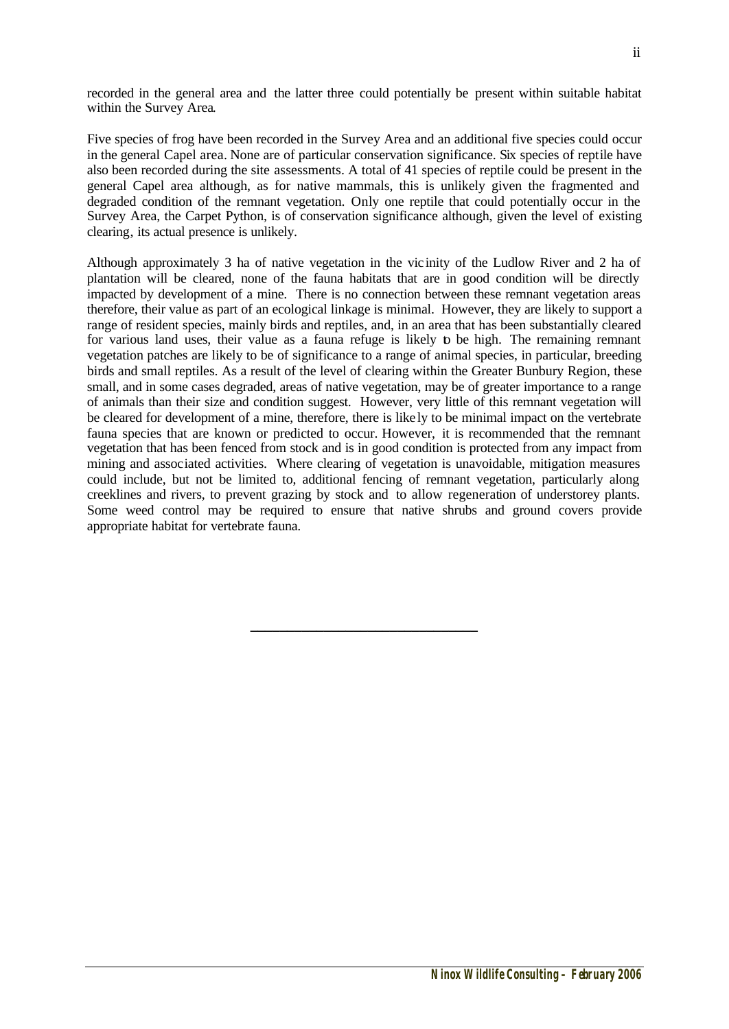recorded in the general area and the latter three could potentially be present within suitable habitat within the Survey Area.

Five species of frog have been recorded in the Survey Area and an additional five species could occur in the general Capel area. None are of particular conservation significance. Six species of reptile have also been recorded during the site assessments. A total of 41 species of reptile could be present in the general Capel area although, as for native mammals, this is unlikely given the fragmented and degraded condition of the remnant vegetation. Only one reptile that could potentially occur in the Survey Area, the Carpet Python, is of conservation significance although, given the level of existing clearing, its actual presence is unlikely.

Although approximately 3 ha of native vegetation in the vic inity of the Ludlow River and 2 ha of plantation will be cleared, none of the fauna habitats that are in good condition will be directly impacted by development of a mine. There is no connection between these remnant vegetation areas therefore, their value as part of an ecological linkage is minimal. However, they are likely to support a range of resident species, mainly birds and reptiles, and, in an area that has been substantially cleared for various land uses, their value as a fauna refuge is likely to be high. The remaining remnant vegetation patches are likely to be of significance to a range of animal species, in particular, breeding birds and small reptiles. As a result of the level of clearing within the Greater Bunbury Region, these small, and in some cases degraded, areas of native vegetation, may be of greater importance to a range of animals than their size and condition suggest. However, very little of this remnant vegetation will be cleared for development of a mine, therefore, there is like ly to be minimal impact on the vertebrate fauna species that are known or predicted to occur. However, it is recommended that the remnant vegetation that has been fenced from stock and is in good condition is protected from any impact from mining and associated activities. Where clearing of vegetation is unavoidable, mitigation measures could include, but not be limited to, additional fencing of remnant vegetation, particularly along creeklines and rivers, to prevent grazing by stock and to allow regeneration of understorey plants. Some weed control may be required to ensure that native shrubs and ground covers provide appropriate habitat for vertebrate fauna.

**\_\_\_\_\_\_\_\_\_\_\_\_\_\_\_\_\_\_\_\_\_\_\_\_\_\_\_\_\_\_\_**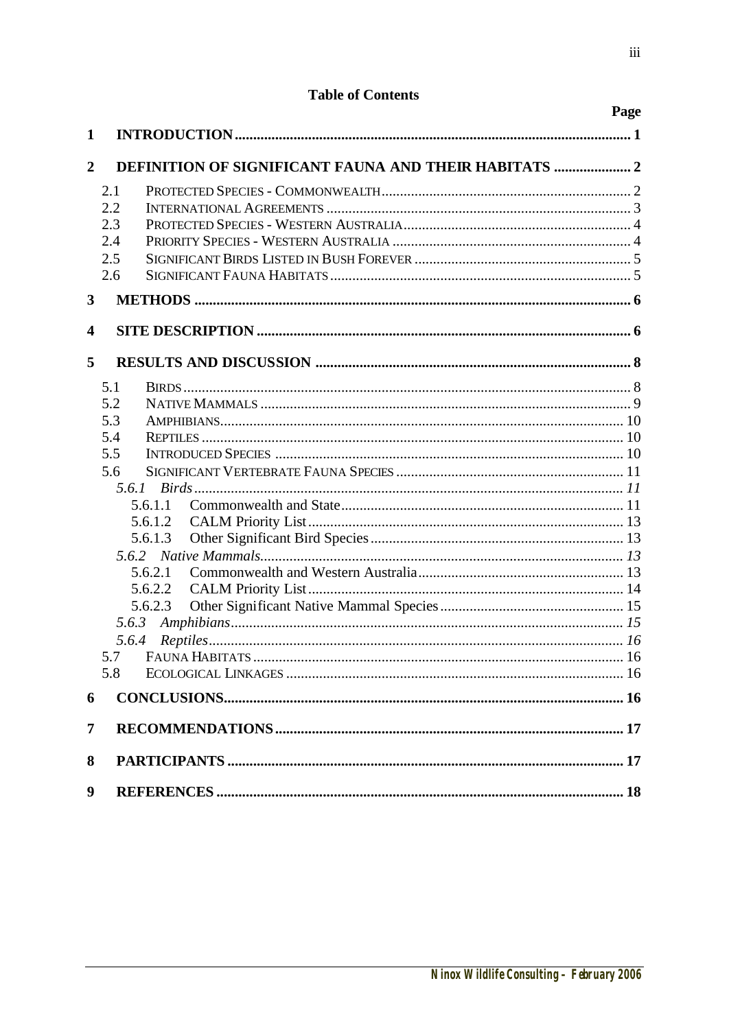# **Table of Contents**

|                |                                                              | Page |
|----------------|--------------------------------------------------------------|------|
| 1              |                                                              |      |
|                |                                                              |      |
| $\overline{2}$ | <b>DEFINITION OF SIGNIFICANT FAUNA AND THEIR HABITATS  2</b> |      |
|                | 2.1                                                          |      |
|                | 2.2                                                          |      |
|                | 2.3                                                          |      |
|                | 2.4                                                          |      |
|                | 2.5                                                          |      |
|                | 2.6                                                          |      |
| $\mathbf{3}$   |                                                              |      |
| 4              |                                                              |      |
| 5              |                                                              |      |
|                | 5.1                                                          |      |
|                | 5.2                                                          |      |
|                | 5.3                                                          |      |
|                | 5.4                                                          |      |
|                | 5.5                                                          |      |
|                | 5.6                                                          |      |
|                |                                                              |      |
|                | 5.6.1.1                                                      |      |
|                | 5.6.1.2                                                      |      |
|                | 5.6.1.3                                                      |      |
|                | 5.6.2.1                                                      |      |
|                | 5.6.2.2                                                      |      |
|                | 5.6.2.3                                                      |      |
|                | 5.6.3                                                        |      |
|                |                                                              |      |
|                | 5.7                                                          |      |
|                | 5.8                                                          |      |
| 6              |                                                              |      |
| 7              |                                                              |      |
| 8              |                                                              |      |
| 9              |                                                              |      |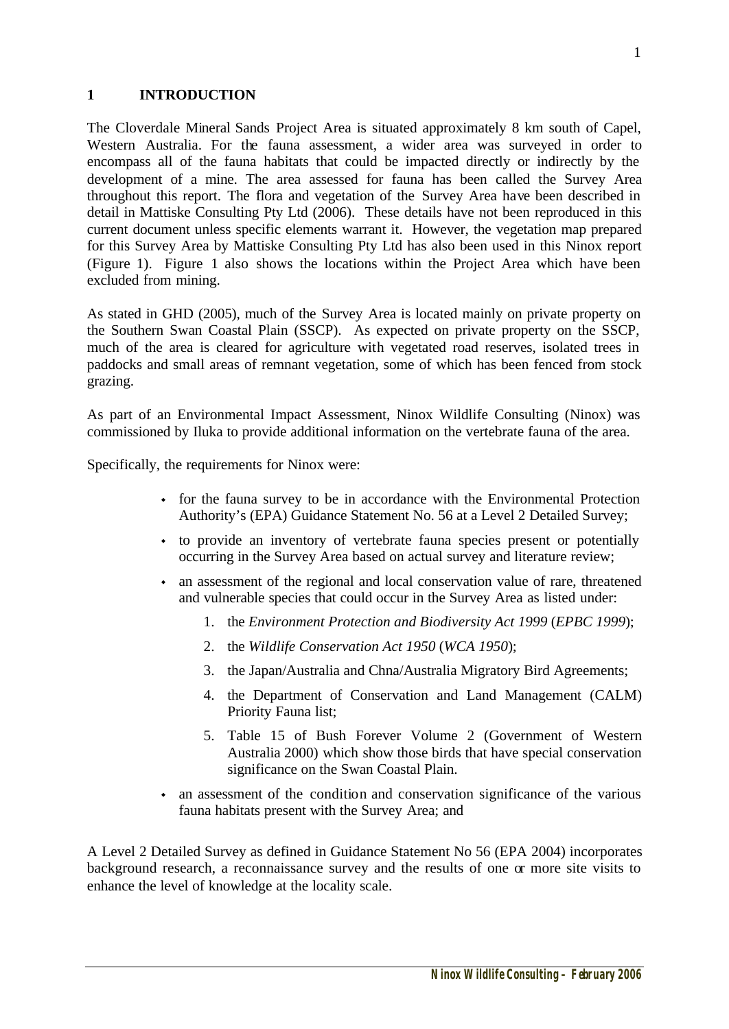#### **1 INTRODUCTION**

The Cloverdale Mineral Sands Project Area is situated approximately 8 km south of Capel, Western Australia. For the fauna assessment, a wider area was surveyed in order to encompass all of the fauna habitats that could be impacted directly or indirectly by the development of a mine. The area assessed for fauna has been called the Survey Area throughout this report. The flora and vegetation of the Survey Area have been described in detail in Mattiske Consulting Pty Ltd (2006). These details have not been reproduced in this current document unless specific elements warrant it. However, the vegetation map prepared for this Survey Area by Mattiske Consulting Pty Ltd has also been used in this Ninox report (Figure 1). Figure 1 also shows the locations within the Project Area which have been excluded from mining.

As stated in GHD (2005), much of the Survey Area is located mainly on private property on the Southern Swan Coastal Plain (SSCP). As expected on private property on the SSCP, much of the area is cleared for agriculture with vegetated road reserves, isolated trees in paddocks and small areas of remnant vegetation, some of which has been fenced from stock grazing.

As part of an Environmental Impact Assessment, Ninox Wildlife Consulting (Ninox) was commissioned by Iluka to provide additional information on the vertebrate fauna of the area.

Specifically, the requirements for Ninox were:

- for the fauna survey to be in accordance with the Environmental Protection Authority's (EPA) Guidance Statement No. 56 at a Level 2 Detailed Survey;
- to provide an inventory of vertebrate fauna species present or potentially occurring in the Survey Area based on actual survey and literature review;
- an assessment of the regional and local conservation value of rare, threatened and vulnerable species that could occur in the Survey Area as listed under:
	- 1. the *Environment Protection and Biodiversity Act 1999* (*EPBC 1999*);
	- 2. the *Wildlife Conservation Act 1950* (*WCA 1950*);
	- 3. the Japan/Australia and Chna/Australia Migratory Bird Agreements;
	- 4. the Department of Conservation and Land Management (CALM) Priority Fauna list;
	- 5. Table 15 of Bush Forever Volume 2 (Government of Western Australia 2000) which show those birds that have special conservation significance on the Swan Coastal Plain.
- ightharpoonup and conservation significance of the various  $\cdot$ fauna habitats present with the Survey Area; and

A Level 2 Detailed Survey as defined in Guidance Statement No 56 (EPA 2004) incorporates background research, a reconnaissance survey and the results of one or more site visits to enhance the level of knowledge at the locality scale.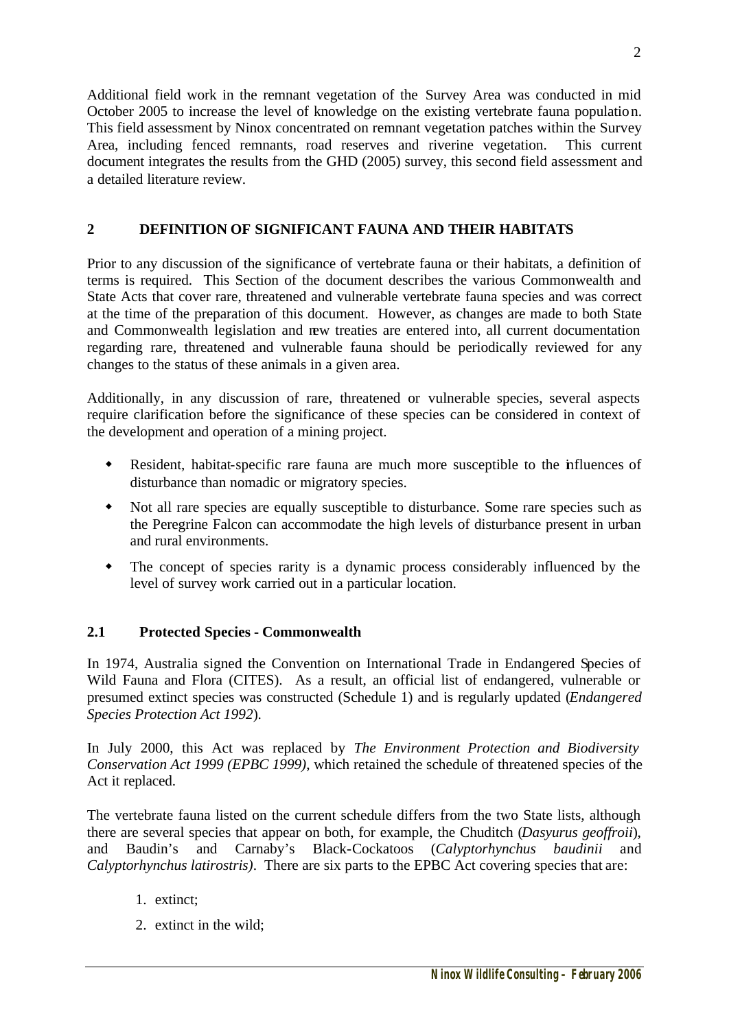Additional field work in the remnant vegetation of the Survey Area was conducted in mid October 2005 to increase the level of knowledge on the existing vertebrate fauna population. This field assessment by Ninox concentrated on remnant vegetation patches within the Survey Area, including fenced remnants, road reserves and riverine vegetation. This current document integrates the results from the GHD (2005) survey, this second field assessment and a detailed literature review.

## **2 DEFINITION OF SIGNIFICANT FAUNA AND THEIR HABITATS**

Prior to any discussion of the significance of vertebrate fauna or their habitats, a definition of terms is required. This Section of the document describes the various Commonwealth and State Acts that cover rare, threatened and vulnerable vertebrate fauna species and was correct at the time of the preparation of this document. However, as changes are made to both State and Commonwealth legislation and new treaties are entered into, all current documentation regarding rare, threatened and vulnerable fauna should be periodically reviewed for any changes to the status of these animals in a given area.

Additionally, in any discussion of rare, threatened or vulnerable species, several aspects require clarification before the significance of these species can be considered in context of the development and operation of a mining project.

- Resident, habitat-specific rare fauna are much more susceptible to the influences of disturbance than nomadic or migratory species.
- w Not all rare species are equally susceptible to disturbance. Some rare species such as the Peregrine Falcon can accommodate the high levels of disturbance present in urban and rural environments.
- The concept of species rarity is a dynamic process considerably influenced by the level of survey work carried out in a particular location.

## **2.1 Protected Species - Commonwealth**

In 1974, Australia signed the Convention on International Trade in Endangered Species of Wild Fauna and Flora (CITES). As a result, an official list of endangered, vulnerable or presumed extinct species was constructed (Schedule 1) and is regularly updated (*Endangered Species Protection Act 1992*).

In July 2000, this Act was replaced by *The Environment Protection and Biodiversity Conservation Act 1999 (EPBC 1999)*, which retained the schedule of threatened species of the Act it replaced.

The vertebrate fauna listed on the current schedule differs from the two State lists, although there are several species that appear on both, for example, the Chuditch (*Dasyurus geoffroii*), and Baudin's and Carnaby's Black-Cockatoos (*Calyptorhynchus baudinii* and *Calyptorhynchus latirostris)*. There are six parts to the EPBC Act covering species that are:

- 1. extinct;
- 2. extinct in the wild;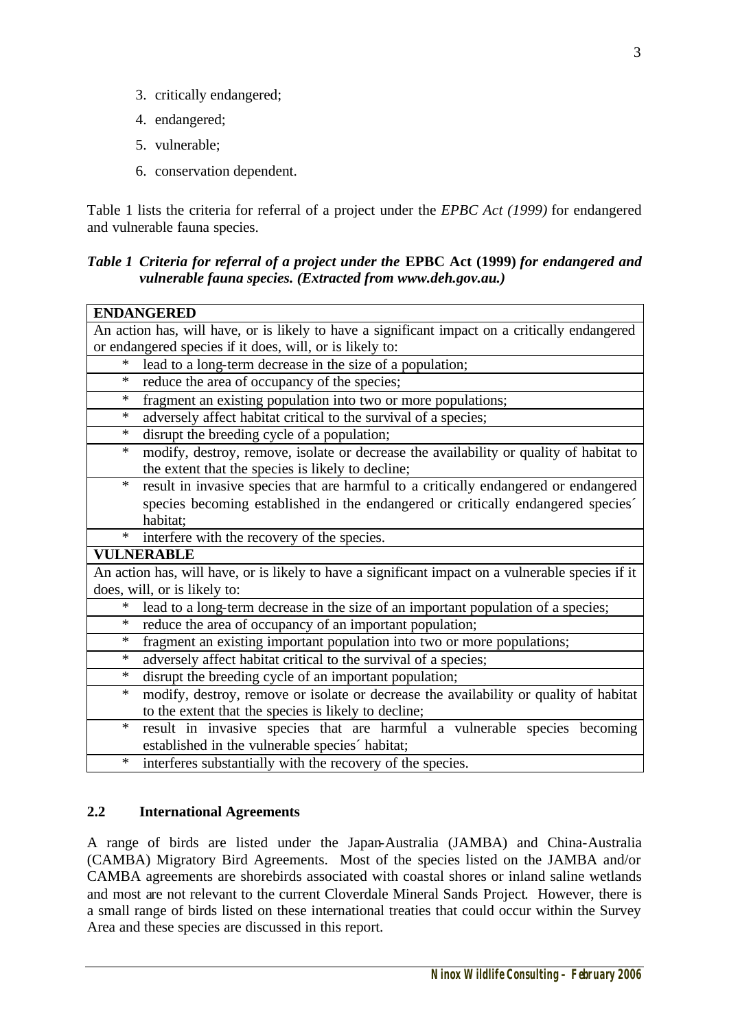- 3. critically endangered;
- 4. endangered;
- 5. vulnerable;
- 6. conservation dependent.

Table 1 lists the criteria for referral of a project under the *EPBC Act (1999)* for endangered and vulnerable fauna species.

## *Table 1 Criteria for referral of a project under the* **EPBC Act (1999)** *for endangered and vulnerable fauna species. (Extracted from www.deh.gov.au.)*

| <b>ENDANGERED</b>                                                                                 |
|---------------------------------------------------------------------------------------------------|
| An action has, will have, or is likely to have a significant impact on a critically endangered    |
| or endangered species if it does, will, or is likely to:                                          |
| lead to a long-term decrease in the size of a population;<br>*                                    |
| reduce the area of occupancy of the species;<br>*                                                 |
| fragment an existing population into two or more populations;<br>*                                |
| adversely affect habitat critical to the survival of a species;<br>*                              |
| disrupt the breeding cycle of a population;<br>*                                                  |
| modify, destroy, remove, isolate or decrease the availability or quality of habitat to<br>*       |
| the extent that the species is likely to decline;                                                 |
| $\ast$<br>result in invasive species that are harmful to a critically endangered or endangered    |
| species becoming established in the endangered or critically endangered species                   |
| habitat;                                                                                          |
| $\ast$<br>interfere with the recovery of the species.                                             |
| <b>VULNERABLE</b>                                                                                 |
| An action has, will have, or is likely to have a significant impact on a vulnerable species if it |
| does, will, or is likely to:                                                                      |
| lead to a long-term decrease in the size of an important population of a species;<br>*            |
| reduce the area of occupancy of an important population;<br>*                                     |
| fragment an existing important population into two or more populations;<br>*                      |
| adversely affect habitat critical to the survival of a species;<br>*                              |
| disrupt the breeding cycle of an important population;<br>$\ast$                                  |
| modify, destroy, remove or isolate or decrease the availability or quality of habitat<br>*        |
| to the extent that the species is likely to decline;                                              |
| result in invasive species that are harmful a vulnerable species becoming<br>$\ast$               |
| established in the vulnerable species' habitat;                                                   |
| interferes substantially with the recovery of the species.<br>$\ast$                              |

## **2.2 International Agreements**

A range of birds are listed under the Japan-Australia (JAMBA) and China-Australia (CAMBA) Migratory Bird Agreements. Most of the species listed on the JAMBA and/or CAMBA agreements are shorebirds associated with coastal shores or inland saline wetlands and most are not relevant to the current Cloverdale Mineral Sands Project. However, there is a small range of birds listed on these international treaties that could occur within the Survey Area and these species are discussed in this report.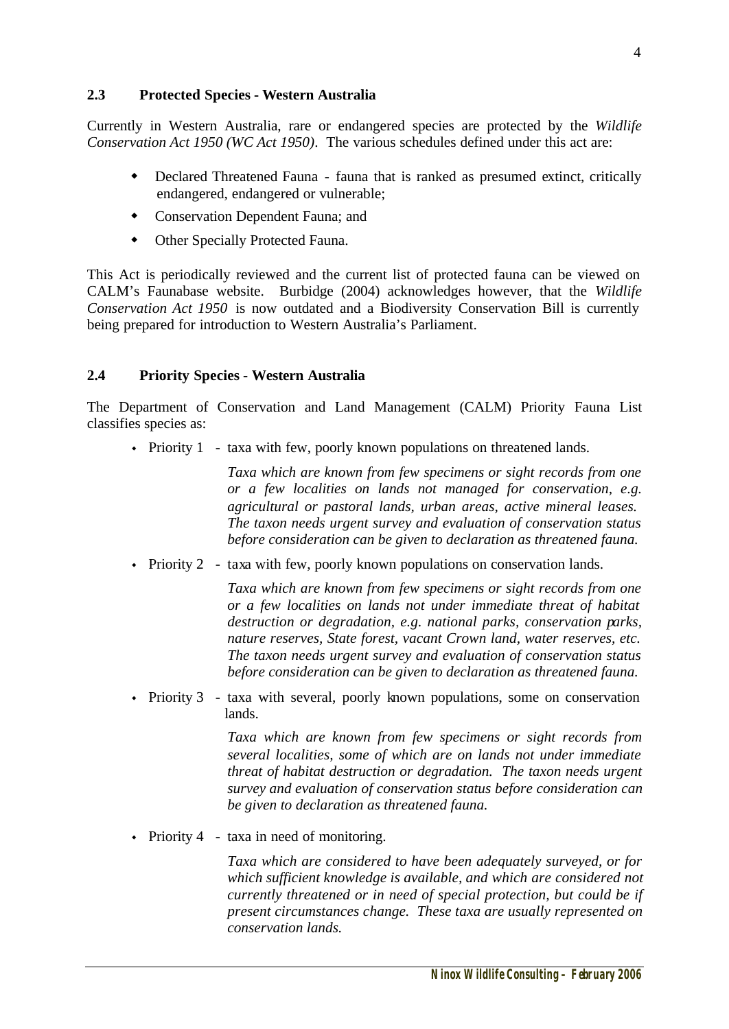#### **2.3 Protected Species - Western Australia**

Currently in Western Australia, rare or endangered species are protected by the *Wildlife Conservation Act 1950 (WC Act 1950)*. The various schedules defined under this act are:

- w Declared Threatened Fauna fauna that is ranked as presumed extinct, critically endangered, endangered or vulnerable;
- Conservation Dependent Fauna; and
- Other Specially Protected Fauna.

This Act is periodically reviewed and the current list of protected fauna can be viewed on CALM's Faunabase website. Burbidge (2004) acknowledges however, that the *Wildlife Conservation Act 1950* is now outdated and a Biodiversity Conservation Bill is currently being prepared for introduction to Western Australia's Parliament.

#### **2.4 Priority Species - Western Australia**

The Department of Conservation and Land Management (CALM) Priority Fauna List classifies species as:

Fiority 1 - taxa with few, poorly known populations on threatened lands.

*Taxa which are known from few specimens or sight records from one or a few localities on lands not managed for conservation, e.g. agricultural or pastoral lands, urban areas, active mineral leases. The taxon needs urgent survey and evaluation of conservation status before consideration can be given to declaration as threatened fauna.*

Fiority 2 - taxa with few, poorly known populations on conservation lands.

*Taxa which are known from few specimens or sight records from one or a few localities on lands not under immediate threat of habitat destruction or degradation, e.g. national parks, conservation parks, nature reserves, State forest, vacant Crown land, water reserves, etc. The taxon needs urgent survey and evaluation of conservation status before consideration can be given to declaration as threatened fauna.*

Fiority  $3$  - taxa with several, poorly known populations, some on conservation lands.

> *Taxa which are known from few specimens or sight records from several localities, some of which are on lands not under immediate threat of habitat destruction or degradation. The taxon needs urgent survey and evaluation of conservation status before consideration can be given to declaration as threatened fauna.*

 $\cdot$  Priority 4 - taxa in need of monitoring.

*Taxa which are considered to have been adequately surveyed, or for which sufficient knowledge is available, and which are considered not currently threatened or in need of special protection, but could be if present circumstances change. These taxa are usually represented on conservation lands.*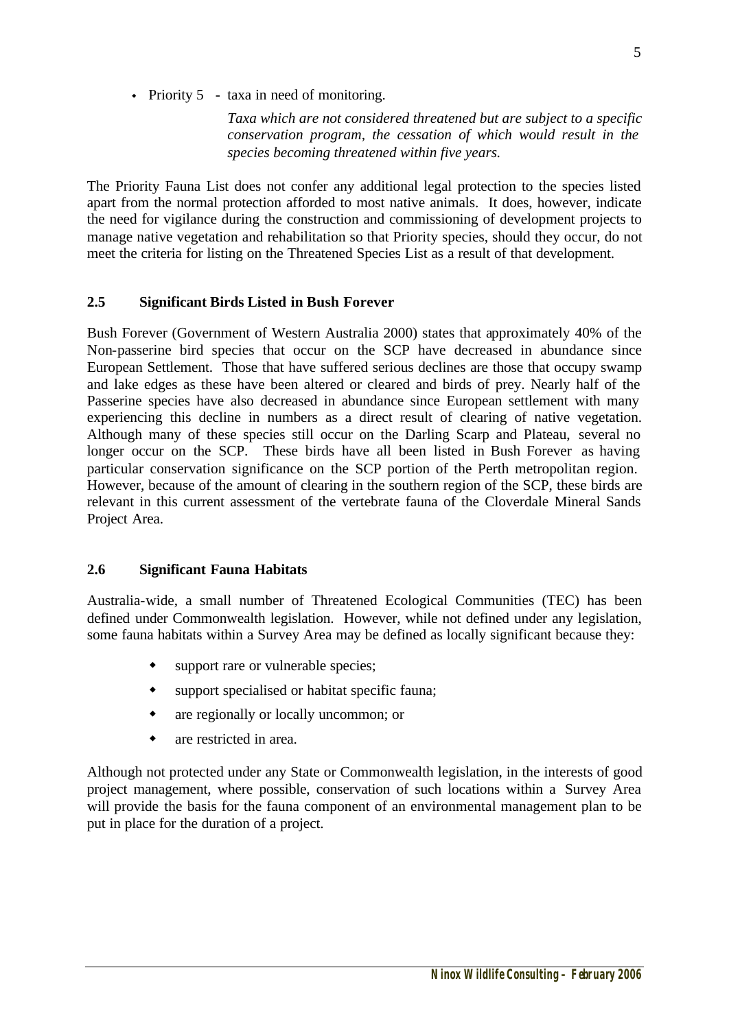• Priority 5 - taxa in need of monitoring.

*Taxa which are not considered threatened but are subject to a specific conservation program, the cessation of which would result in the species becoming threatened within five years.*

The Priority Fauna List does not confer any additional legal protection to the species listed apart from the normal protection afforded to most native animals. It does, however, indicate the need for vigilance during the construction and commissioning of development projects to manage native vegetation and rehabilitation so that Priority species, should they occur, do not meet the criteria for listing on the Threatened Species List as a result of that development.

#### **2.5 Significant Birds Listed in Bush Forever**

Bush Forever (Government of Western Australia 2000) states that approximately 40% of the Non-passerine bird species that occur on the SCP have decreased in abundance since European Settlement. Those that have suffered serious declines are those that occupy swamp and lake edges as these have been altered or cleared and birds of prey. Nearly half of the Passerine species have also decreased in abundance since European settlement with many experiencing this decline in numbers as a direct result of clearing of native vegetation. Although many of these species still occur on the Darling Scarp and Plateau, several no longer occur on the SCP. These birds have all been listed in Bush Forever as having particular conservation significance on the SCP portion of the Perth metropolitan region. However, because of the amount of clearing in the southern region of the SCP, these birds are relevant in this current assessment of the vertebrate fauna of the Cloverdale Mineral Sands Project Area.

#### **2.6 Significant Fauna Habitats**

Australia-wide, a small number of Threatened Ecological Communities (TEC) has been defined under Commonwealth legislation. However, while not defined under any legislation, some fauna habitats within a Survey Area may be defined as locally significant because they:

- $\bullet$  support rare or vulnerable species;
- $\bullet$  support specialised or habitat specific fauna;
- are regionally or locally uncommon; or
- $\bullet$  are restricted in area.

Although not protected under any State or Commonwealth legislation, in the interests of good project management, where possible, conservation of such locations within a Survey Area will provide the basis for the fauna component of an environmental management plan to be put in place for the duration of a project.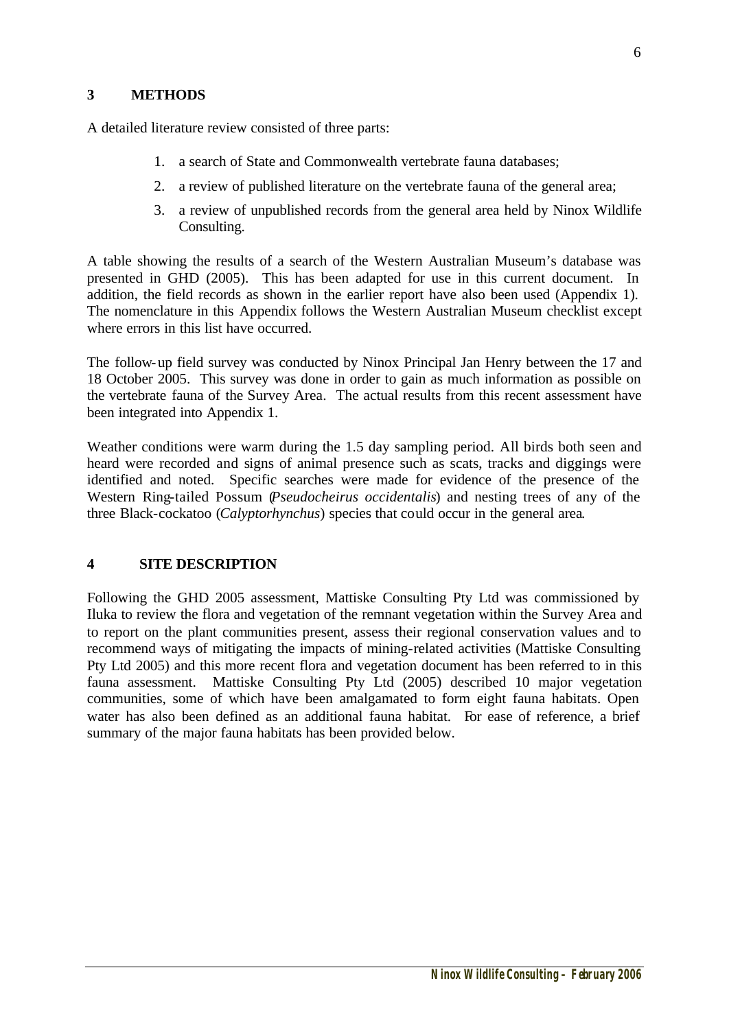### **3 METHODS**

A detailed literature review consisted of three parts:

- 1. a search of State and Commonwealth vertebrate fauna databases;
- 2. a review of published literature on the vertebrate fauna of the general area;
- 3. a review of unpublished records from the general area held by Ninox Wildlife Consulting.

A table showing the results of a search of the Western Australian Museum's database was presented in GHD (2005). This has been adapted for use in this current document. In addition, the field records as shown in the earlier report have also been used (Appendix 1). The nomenclature in this Appendix follows the Western Australian Museum checklist except where errors in this list have occurred.

The follow-up field survey was conducted by Ninox Principal Jan Henry between the 17 and 18 October 2005. This survey was done in order to gain as much information as possible on the vertebrate fauna of the Survey Area. The actual results from this recent assessment have been integrated into Appendix 1.

Weather conditions were warm during the 1.5 day sampling period. All birds both seen and heard were recorded and signs of animal presence such as scats, tracks and diggings were identified and noted. Specific searches were made for evidence of the presence of the Western Ring-tailed Possum (*Pseudocheirus occidentalis*) and nesting trees of any of the three Black-cockatoo (*Calyptorhynchus*) species that could occur in the general area.

### **4 SITE DESCRIPTION**

Following the GHD 2005 assessment, Mattiske Consulting Pty Ltd was commissioned by Iluka to review the flora and vegetation of the remnant vegetation within the Survey Area and to report on the plant communities present, assess their regional conservation values and to recommend ways of mitigating the impacts of mining-related activities (Mattiske Consulting Pty Ltd 2005) and this more recent flora and vegetation document has been referred to in this fauna assessment. Mattiske Consulting Pty Ltd (2005) described 10 major vegetation communities, some of which have been amalgamated to form eight fauna habitats. Open water has also been defined as an additional fauna habitat. For ease of reference, a brief summary of the major fauna habitats has been provided below.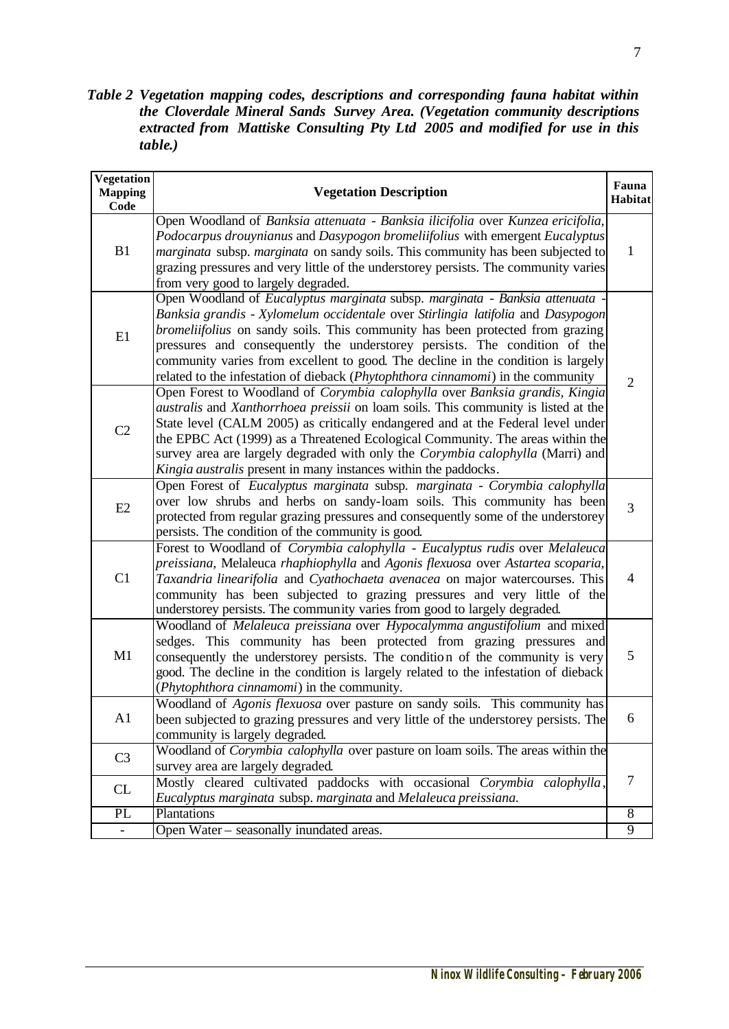*Table 2 Vegetation mapping codes, descriptions and corresponding fauna habitat within the Cloverdale Mineral Sands Survey Area. (Vegetation community descriptions extracted from Mattiske Consulting Pty Ltd 2005 and modified for use in this table.)*

| <b>Vegetation</b><br><b>Mapping</b><br>Code | <b>Vegetation Description</b>                                                                                                                                                                                                                                                                                                                                                                                                                                                                      | Fauna<br>Habitat |
|---------------------------------------------|----------------------------------------------------------------------------------------------------------------------------------------------------------------------------------------------------------------------------------------------------------------------------------------------------------------------------------------------------------------------------------------------------------------------------------------------------------------------------------------------------|------------------|
| B1                                          | Open Woodland of Banksia attenuata - Banksia ilicifolia over Kunzea ericifolia,<br>Podocarpus drouynianus and Dasypogon bromeliifolius with emergent Eucalyptus<br><i>marginata</i> subsp. <i>marginata</i> on sandy soils. This community has been subjected to<br>grazing pressures and very little of the understorey persists. The community varies<br>from very good to largely degraded.                                                                                                     | 1                |
| E1                                          | Open Woodland of Eucalyptus marginata subsp. marginata - Banksia attenuata<br>Banksia grandis - Xylomelum occidentale over Stirlingia latifolia and Dasypogon<br>bromeliifolius on sandy soils. This community has been protected from grazing<br>pressures and consequently the understorey persists. The condition of the<br>community varies from excellent to good. The decline in the condition is largely<br>related to the infestation of dieback (Phytophthora cinnamomi) in the community | $\overline{2}$   |
| C <sub>2</sub>                              | Open Forest to Woodland of Corymbia calophylla over Banksia grandis, Kingia<br>australis and Xanthorrhoea preissii on loam soils. This community is listed at the<br>State level (CALM 2005) as critically endangered and at the Federal level under<br>the EPBC Act (1999) as a Threatened Ecological Community. The areas within the<br>survey area are largely degraded with only the Corymbia calophylla (Marri) and<br>Kingia australis present in many instances within the paddocks.        |                  |
| E2                                          | Open Forest of Eucalyptus marginata subsp. marginata - Corymbia calophylla<br>over low shrubs and herbs on sandy-loam soils. This community has been<br>protected from regular grazing pressures and consequently some of the understorey<br>persists. The condition of the community is good.                                                                                                                                                                                                     | $\overline{3}$   |
| C1                                          | Forest to Woodland of Corymbia calophylla - Eucalyptus rudis over Melaleuca<br>preissiana, Melaleuca rhaphiophylla and Agonis flexuosa over Astartea scoparia,<br>Taxandria linearifolia and Cyathochaeta avenacea on major watercourses. This<br>community has been subjected to grazing pressures and very little of the<br>understorey persists. The community varies from good to largely degraded.                                                                                            | $\overline{4}$   |
| M1                                          | Woodland of Melaleuca preissiana over Hypocalymma angustifolium and mixed<br>sedges. This community has been protected from grazing pressures and<br>consequently the understorey persists. The condition of the community is very<br>good. The decline in the condition is largely related to the infestation of dieback<br>(Phytophthora cinnamomi) in the community.                                                                                                                            | 5                |
| A <sub>1</sub>                              | Woodland of Agonis flexuosa over pasture on sandy soils. This community has<br>been subjected to grazing pressures and very little of the understorey persists. The<br>community is largely degraded.                                                                                                                                                                                                                                                                                              | 6                |
| C <sub>3</sub>                              | Woodland of <i>Corymbia calophylla</i> over pasture on loam soils. The areas within the<br>survey area are largely degraded.                                                                                                                                                                                                                                                                                                                                                                       |                  |
| CL                                          | Mostly cleared cultivated paddocks with occasional Corymbia calophylla,<br>Eucalyptus marginata subsp. marginata and Melaleuca preissiana.                                                                                                                                                                                                                                                                                                                                                         | $\overline{7}$   |
| $\overline{PL}$                             | Plantations                                                                                                                                                                                                                                                                                                                                                                                                                                                                                        | $\overline{8}$   |
| $\blacksquare$                              | Open Water – seasonally inundated areas.                                                                                                                                                                                                                                                                                                                                                                                                                                                           | 9                |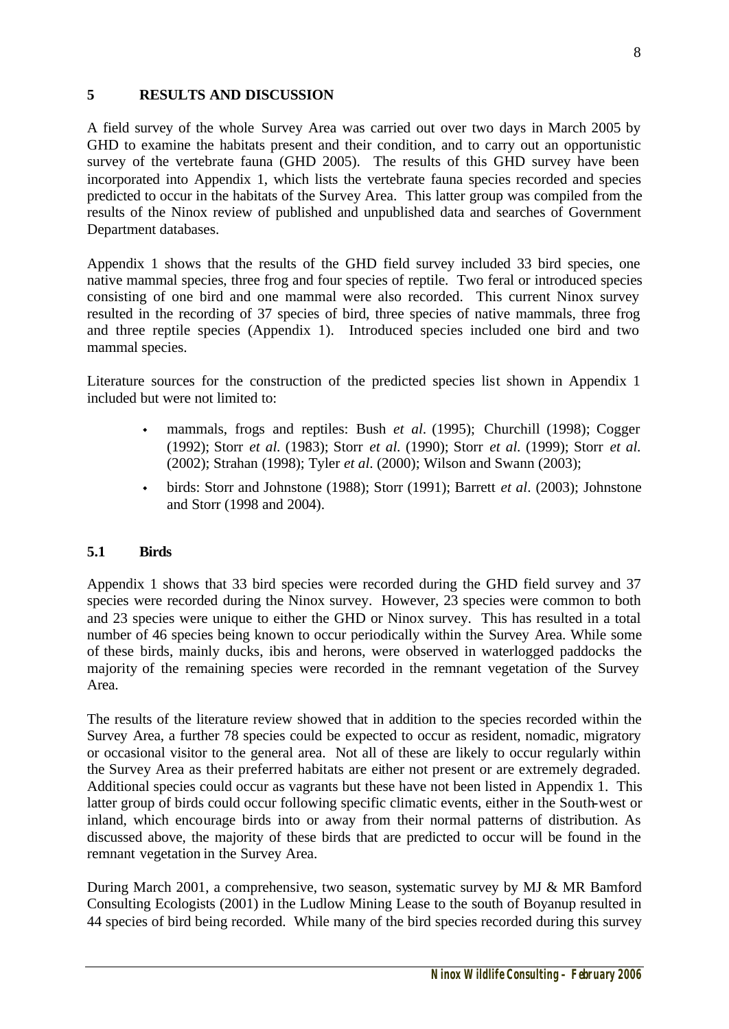## **5 RESULTS AND DISCUSSION**

A field survey of the whole Survey Area was carried out over two days in March 2005 by GHD to examine the habitats present and their condition, and to carry out an opportunistic survey of the vertebrate fauna (GHD 2005). The results of this GHD survey have been incorporated into Appendix 1, which lists the vertebrate fauna species recorded and species predicted to occur in the habitats of the Survey Area. This latter group was compiled from the results of the Ninox review of published and unpublished data and searches of Government Department databases.

Appendix 1 shows that the results of the GHD field survey included 33 bird species, one native mammal species, three frog and four species of reptile. Two feral or introduced species consisting of one bird and one mammal were also recorded. This current Ninox survey resulted in the recording of 37 species of bird, three species of native mammals, three frog and three reptile species (Appendix 1). Introduced species included one bird and two mammal species.

Literature sources for the construction of the predicted species list shown in Appendix 1 included but were not limited to:

- mammals, frogs and reptiles: Bush *et al.* (1995); Churchill (1998); Cogger (1992); Storr *et al.* (1983); Storr *et al.* (1990); Storr *et al.* (1999); Storr *et al.* (2002); Strahan (1998); Tyler *et al*. (2000); Wilson and Swann (2003);
- <sup>w</sup> birds: Storr and Johnstone (1988); Storr (1991); Barrett *et al*. (2003); Johnstone and Storr (1998 and 2004).

### **5.1 Birds**

Appendix 1 shows that 33 bird species were recorded during the GHD field survey and 37 species were recorded during the Ninox survey. However, 23 species were common to both and 23 species were unique to either the GHD or Ninox survey. This has resulted in a total number of 46 species being known to occur periodically within the Survey Area. While some of these birds, mainly ducks, ibis and herons, were observed in waterlogged paddocks the majority of the remaining species were recorded in the remnant vegetation of the Survey Area.

The results of the literature review showed that in addition to the species recorded within the Survey Area, a further 78 species could be expected to occur as resident, nomadic, migratory or occasional visitor to the general area. Not all of these are likely to occur regularly within the Survey Area as their preferred habitats are either not present or are extremely degraded. Additional species could occur as vagrants but these have not been listed in Appendix 1. This latter group of birds could occur following specific climatic events, either in the South-west or inland, which encourage birds into or away from their normal patterns of distribution. As discussed above, the majority of these birds that are predicted to occur will be found in the remnant vegetation in the Survey Area.

During March 2001, a comprehensive, two season, systematic survey by MJ & MR Bamford Consulting Ecologists (2001) in the Ludlow Mining Lease to the south of Boyanup resulted in 44 species of bird being recorded. While many of the bird species recorded during this survey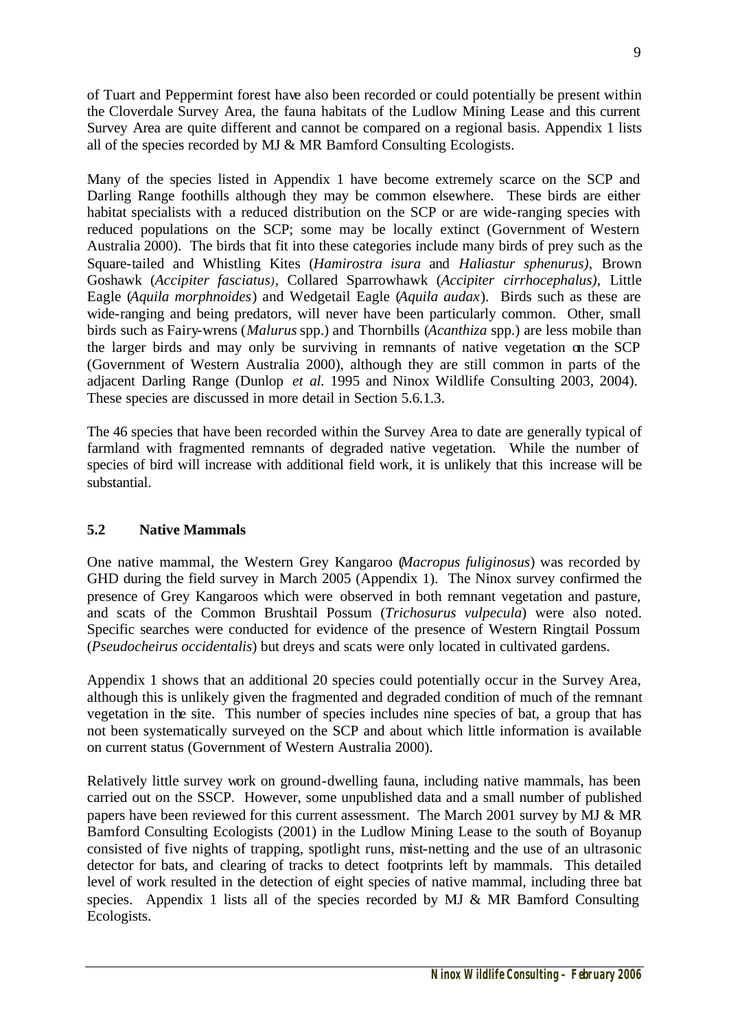of Tuart and Peppermint forest have also been recorded or could potentially be present within the Cloverdale Survey Area, the fauna habitats of the Ludlow Mining Lease and this current Survey Area are quite different and cannot be compared on a regional basis. Appendix 1 lists all of the species recorded by MJ & MR Bamford Consulting Ecologists.

Many of the species listed in Appendix 1 have become extremely scarce on the SCP and Darling Range foothills although they may be common elsewhere. These birds are either habitat specialists with a reduced distribution on the SCP or are wide-ranging species with reduced populations on the SCP; some may be locally extinct (Government of Western Australia 2000). The birds that fit into these categories include many birds of prey such as the Square-tailed and Whistling Kites (*Hamirostra isura* and *Haliastur sphenurus)*, Brown Goshawk (*Accipiter fasciatus)*, Collared Sparrowhawk (*Accipiter cirrhocephalus)*, Little Eagle (*Aquila morphnoides*) and Wedgetail Eagle (*Aquila audax*). Birds such as these are wide-ranging and being predators, will never have been particularly common. Other, small birds such as Fairy-wrens (*Malurus* spp.) and Thornbills (*Acanthiza* spp.) are less mobile than the larger birds and may only be surviving in remnants of native vegetation on the SCP (Government of Western Australia 2000), although they are still common in parts of the adjacent Darling Range (Dunlop *et al.* 1995 and Ninox Wildlife Consulting 2003, 2004). These species are discussed in more detail in Section 5.6.1.3.

The 46 species that have been recorded within the Survey Area to date are generally typical of farmland with fragmented remnants of degraded native vegetation. While the number of species of bird will increase with additional field work, it is unlikely that this increase will be substantial.

### **5.2 Native Mammals**

One native mammal, the Western Grey Kangaroo (*Macropus fuliginosus*) was recorded by GHD during the field survey in March 2005 (Appendix 1). The Ninox survey confirmed the presence of Grey Kangaroos which were observed in both remnant vegetation and pasture, and scats of the Common Brushtail Possum (*Trichosurus vulpecula*) were also noted. Specific searches were conducted for evidence of the presence of Western Ringtail Possum (*Pseudocheirus occidentalis*) but dreys and scats were only located in cultivated gardens.

Appendix 1 shows that an additional 20 species could potentially occur in the Survey Area, although this is unlikely given the fragmented and degraded condition of much of the remnant vegetation in the site. This number of species includes nine species of bat, a group that has not been systematically surveyed on the SCP and about which little information is available on current status (Government of Western Australia 2000).

Relatively little survey work on ground-dwelling fauna, including native mammals, has been carried out on the SSCP. However, some unpublished data and a small number of published papers have been reviewed for this current assessment. The March 2001 survey by MJ & MR Bamford Consulting Ecologists (2001) in the Ludlow Mining Lease to the south of Boyanup consisted of five nights of trapping, spotlight runs, mist-netting and the use of an ultrasonic detector for bats, and clearing of tracks to detect footprints left by mammals. This detailed level of work resulted in the detection of eight species of native mammal, including three bat species. Appendix 1 lists all of the species recorded by MJ & MR Bamford Consulting Ecologists.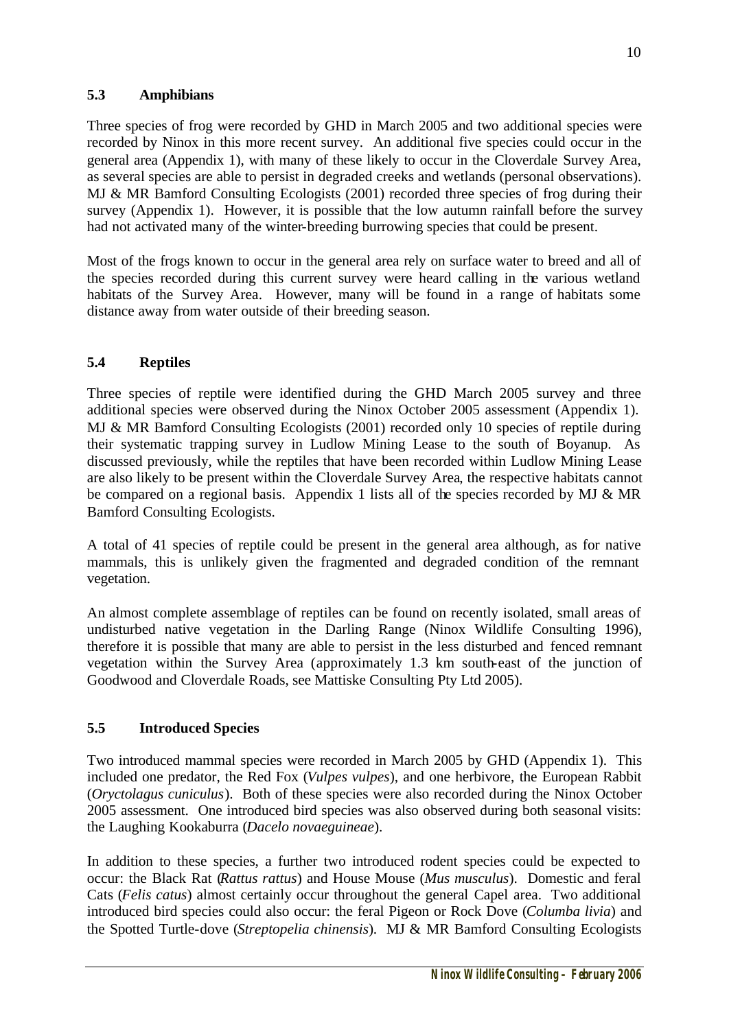Three species of frog were recorded by GHD in March 2005 and two additional species were recorded by Ninox in this more recent survey. An additional five species could occur in the general area (Appendix 1), with many of these likely to occur in the Cloverdale Survey Area, as several species are able to persist in degraded creeks and wetlands (personal observations). MJ & MR Bamford Consulting Ecologists (2001) recorded three species of frog during their survey (Appendix 1). However, it is possible that the low autumn rainfall before the survey had not activated many of the winter-breeding burrowing species that could be present.

Most of the frogs known to occur in the general area rely on surface water to breed and all of the species recorded during this current survey were heard calling in the various wetland habitats of the Survey Area. However, many will be found in a range of habitats some distance away from water outside of their breeding season.

# **5.4 Reptiles**

Three species of reptile were identified during the GHD March 2005 survey and three additional species were observed during the Ninox October 2005 assessment (Appendix 1). MJ & MR Bamford Consulting Ecologists (2001) recorded only 10 species of reptile during their systematic trapping survey in Ludlow Mining Lease to the south of Boyanup. As discussed previously, while the reptiles that have been recorded within Ludlow Mining Lease are also likely to be present within the Cloverdale Survey Area, the respective habitats cannot be compared on a regional basis. Appendix 1 lists all of the species recorded by MJ & MR Bamford Consulting Ecologists.

A total of 41 species of reptile could be present in the general area although, as for native mammals, this is unlikely given the fragmented and degraded condition of the remnant vegetation.

An almost complete assemblage of reptiles can be found on recently isolated, small areas of undisturbed native vegetation in the Darling Range (Ninox Wildlife Consulting 1996), therefore it is possible that many are able to persist in the less disturbed and fenced remnant vegetation within the Survey Area (approximately 1.3 km south-east of the junction of Goodwood and Cloverdale Roads, see Mattiske Consulting Pty Ltd 2005).

## **5.5 Introduced Species**

Two introduced mammal species were recorded in March 2005 by GHD (Appendix 1). This included one predator, the Red Fox (*Vulpes vulpes*), and one herbivore, the European Rabbit (*Oryctolagus cuniculus*). Both of these species were also recorded during the Ninox October 2005 assessment. One introduced bird species was also observed during both seasonal visits: the Laughing Kookaburra (*Dacelo novaeguineae*).

In addition to these species, a further two introduced rodent species could be expected to occur: the Black Rat (*Rattus rattus*) and House Mouse (*Mus musculus*). Domestic and feral Cats (*Felis catus*) almost certainly occur throughout the general Capel area. Two additional introduced bird species could also occur: the feral Pigeon or Rock Dove (*Columba livia*) and the Spotted Turtle-dove (*Streptopelia chinensis*). MJ & MR Bamford Consulting Ecologists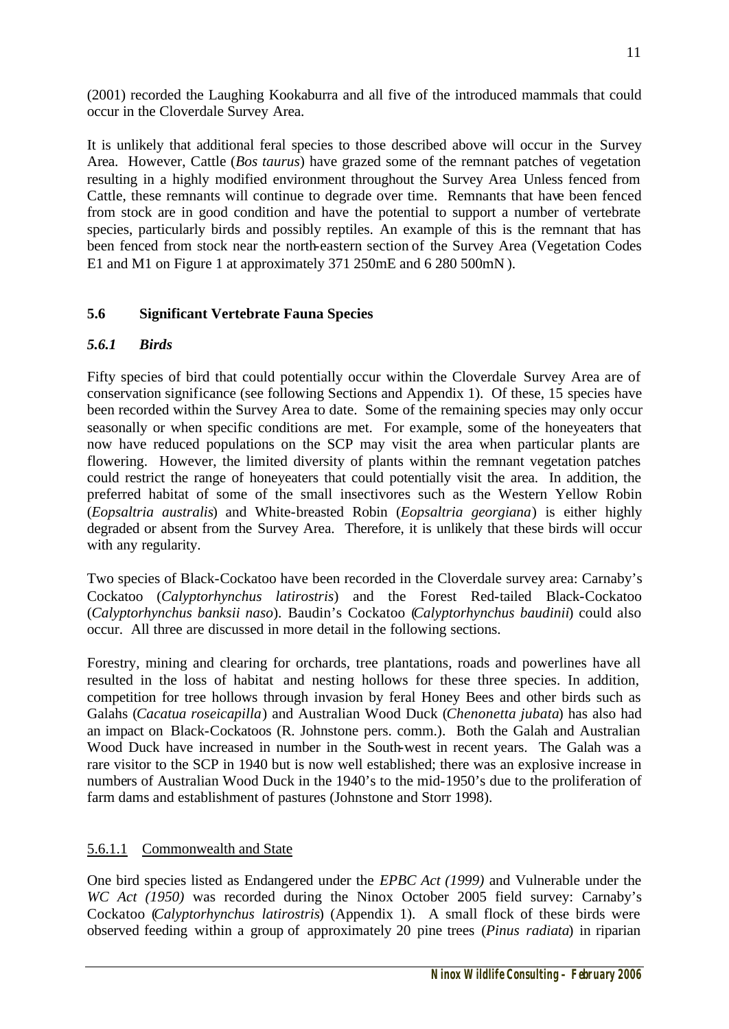(2001) recorded the Laughing Kookaburra and all five of the introduced mammals that could occur in the Cloverdale Survey Area.

It is unlikely that additional feral species to those described above will occur in the Survey Area. However, Cattle (*Bos taurus*) have grazed some of the remnant patches of vegetation resulting in a highly modified environment throughout the Survey Area Unless fenced from Cattle, these remnants will continue to degrade over time. Remnants that have been fenced from stock are in good condition and have the potential to support a number of vertebrate species, particularly birds and possibly reptiles. An example of this is the remnant that has been fenced from stock near the north-eastern section of the Survey Area (Vegetation Codes E1 and M1 on Figure 1 at approximately 371 250mE and 6 280 500mN).

## **5.6 Significant Vertebrate Fauna Species**

## *5.6.1 Birds*

Fifty species of bird that could potentially occur within the Cloverdale Survey Area are of conservation significance (see following Sections and Appendix 1). Of these, 15 species have been recorded within the Survey Area to date. Some of the remaining species may only occur seasonally or when specific conditions are met. For example, some of the honeyeaters that now have reduced populations on the SCP may visit the area when particular plants are flowering. However, the limited diversity of plants within the remnant vegetation patches could restrict the range of honeyeaters that could potentially visit the area. In addition, the preferred habitat of some of the small insectivores such as the Western Yellow Robin (*Eopsaltria australis*) and White-breasted Robin (*Eopsaltria georgiana*) is either highly degraded or absent from the Survey Area. Therefore, it is unlikely that these birds will occur with any regularity.

Two species of Black-Cockatoo have been recorded in the Cloverdale survey area: Carnaby's Cockatoo (*Calyptorhynchus latirostris*) and the Forest Red-tailed Black-Cockatoo (*Calyptorhynchus banksii naso*). Baudin's Cockatoo (*Calyptorhynchus baudinii*) could also occur. All three are discussed in more detail in the following sections.

Forestry, mining and clearing for orchards, tree plantations, roads and powerlines have all resulted in the loss of habitat and nesting hollows for these three species. In addition, competition for tree hollows through invasion by feral Honey Bees and other birds such as Galahs (*Cacatua roseicapilla*) and Australian Wood Duck (*Chenonetta jubata*) has also had an impact on Black-Cockatoos (R. Johnstone pers. comm.). Both the Galah and Australian Wood Duck have increased in number in the South-west in recent years. The Galah was a rare visitor to the SCP in 1940 but is now well established; there was an explosive increase in numbers of Australian Wood Duck in the 1940's to the mid-1950's due to the proliferation of farm dams and establishment of pastures (Johnstone and Storr 1998).

### 5.6.1.1 Commonwealth and State

One bird species listed as Endangered under the *EPBC Act (1999)* and Vulnerable under the *WC Act (1950)* was recorded during the Ninox October 2005 field survey: Carnaby's Cockatoo (*Calyptorhynchus latirostris*) (Appendix 1). A small flock of these birds were observed feeding within a group of approximately 20 pine trees (*Pinus radiata*) in riparian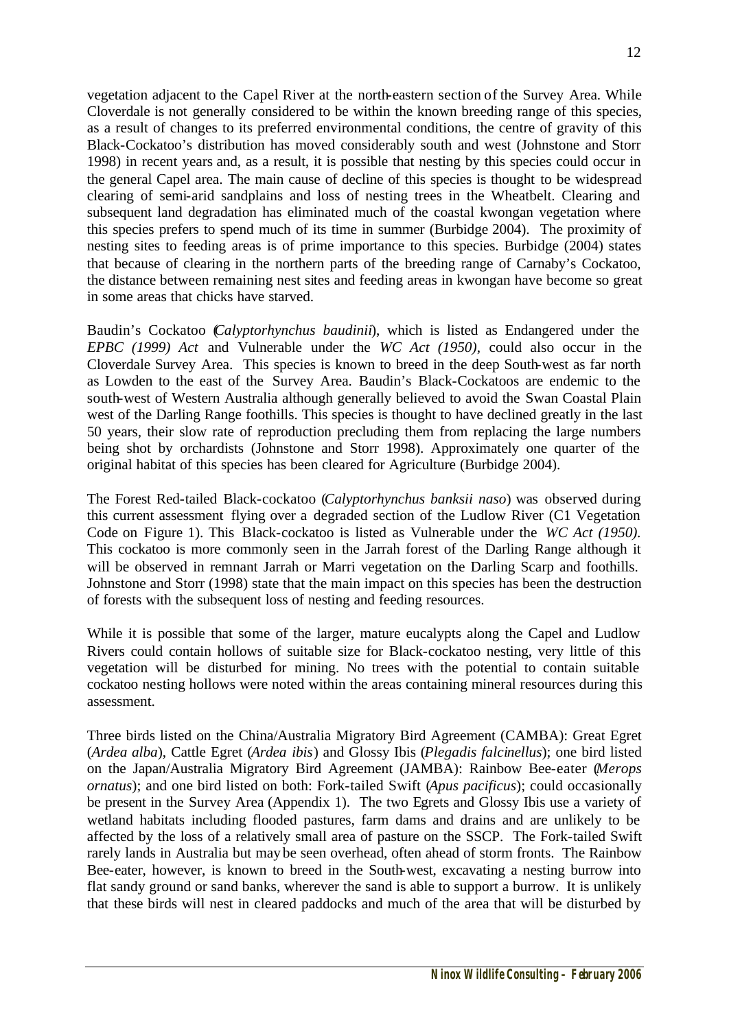vegetation adjacent to the Capel River at the north-eastern section of the Survey Area. While Cloverdale is not generally considered to be within the known breeding range of this species, as a result of changes to its preferred environmental conditions, the centre of gravity of this Black-Cockatoo's distribution has moved considerably south and west (Johnstone and Storr 1998) in recent years and, as a result, it is possible that nesting by this species could occur in the general Capel area. The main cause of decline of this species is thought to be widespread clearing of semi-arid sandplains and loss of nesting trees in the Wheatbelt. Clearing and subsequent land degradation has eliminated much of the coastal kwongan vegetation where this species prefers to spend much of its time in summer (Burbidge 2004). The proximity of nesting sites to feeding areas is of prime importance to this species. Burbidge (2004) states that because of clearing in the northern parts of the breeding range of Carnaby's Cockatoo, the distance between remaining nest sites and feeding areas in kwongan have become so great in some areas that chicks have starved.

Baudin's Cockatoo (*Calyptorhynchus baudinii*), which is listed as Endangered under the *EPBC (1999) Act* and Vulnerable under the *WC Act (1950)*, could also occur in the Cloverdale Survey Area. This species is known to breed in the deep South-west as far north as Lowden to the east of the Survey Area. Baudin's Black-Cockatoos are endemic to the south-west of Western Australia although generally believed to avoid the Swan Coastal Plain west of the Darling Range foothills. This species is thought to have declined greatly in the last 50 years, their slow rate of reproduction precluding them from replacing the large numbers being shot by orchardists (Johnstone and Storr 1998). Approximately one quarter of the original habitat of this species has been cleared for Agriculture (Burbidge 2004).

The Forest Red-tailed Black-cockatoo (*Calyptorhynchus banksii naso*) was observed during this current assessment flying over a degraded section of the Ludlow River (C1 Vegetation Code on Figure 1). This Black-cockatoo is listed as Vulnerable under the *WC Act (1950).* This cockatoo is more commonly seen in the Jarrah forest of the Darling Range although it will be observed in remnant Jarrah or Marri vegetation on the Darling Scarp and foothills. Johnstone and Storr (1998) state that the main impact on this species has been the destruction of forests with the subsequent loss of nesting and feeding resources.

While it is possible that some of the larger, mature eucalypts along the Capel and Ludlow Rivers could contain hollows of suitable size for Black-cockatoo nesting, very little of this vegetation will be disturbed for mining. No trees with the potential to contain suitable cockatoo nesting hollows were noted within the areas containing mineral resources during this assessment.

Three birds listed on the China/Australia Migratory Bird Agreement (CAMBA): Great Egret (*Ardea alba*), Cattle Egret (*Ardea ibis*) and Glossy Ibis (*Plegadis falcinellus*); one bird listed on the Japan/Australia Migratory Bird Agreement (JAMBA): Rainbow Bee-eater (*Merops ornatus*); and one bird listed on both: Fork-tailed Swift (*Apus pacificus*); could occasionally be present in the Survey Area (Appendix 1). The two Egrets and Glossy Ibis use a variety of wetland habitats including flooded pastures, farm dams and drains and are unlikely to be affected by the loss of a relatively small area of pasture on the SSCP. The Fork-tailed Swift rarely lands in Australia but may be seen overhead, often ahead of storm fronts. The Rainbow Bee-eater, however, is known to breed in the South-west, excavating a nesting burrow into flat sandy ground or sand banks, wherever the sand is able to support a burrow. It is unlikely that these birds will nest in cleared paddocks and much of the area that will be disturbed by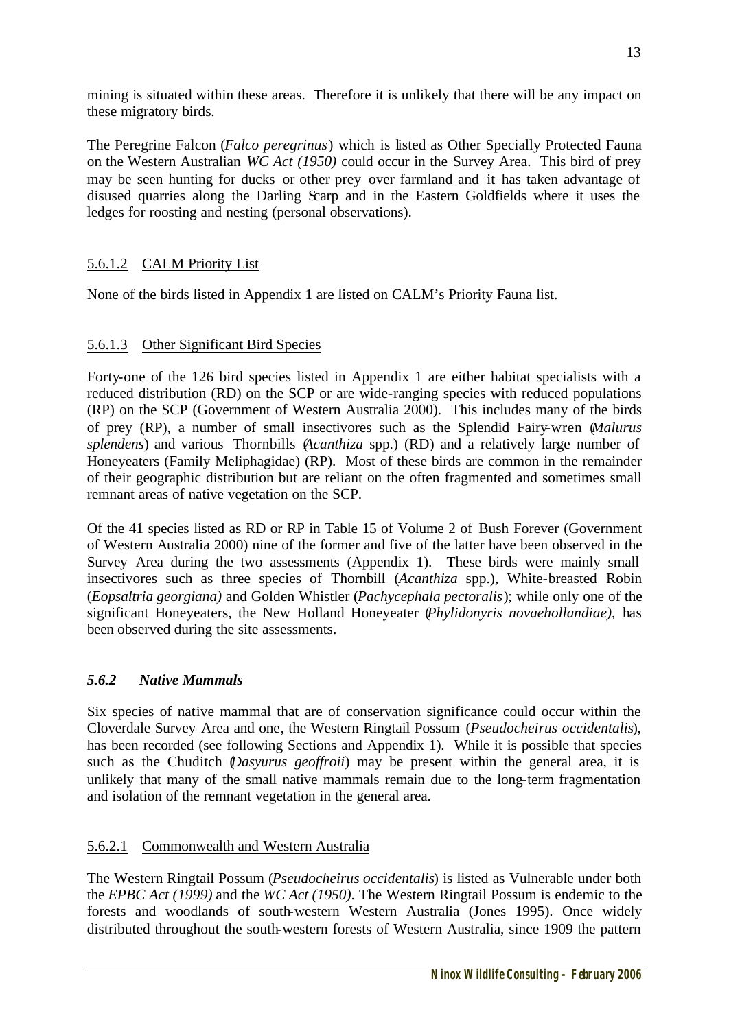mining is situated within these areas. Therefore it is unlikely that there will be any impact on these migratory birds.

The Peregrine Falcon (*Falco peregrinus*) which is listed as Other Specially Protected Fauna on the Western Australian *WC Act (1950)* could occur in the Survey Area. This bird of prey may be seen hunting for ducks or other prey over farmland and it has taken advantage of disused quarries along the Darling Scarp and in the Eastern Goldfields where it uses the ledges for roosting and nesting (personal observations).

## 5.6.1.2 CALM Priority List

None of the birds listed in Appendix 1 are listed on CALM's Priority Fauna list.

## 5.6.1.3 Other Significant Bird Species

Forty-one of the 126 bird species listed in Appendix 1 are either habitat specialists with a reduced distribution (RD) on the SCP or are wide-ranging species with reduced populations (RP) on the SCP (Government of Western Australia 2000). This includes many of the birds of prey (RP), a number of small insectivores such as the Splendid Fairy-wren (*Malurus splendens*) and various Thornbills (*Acanthiza* spp.) (RD) and a relatively large number of Honeyeaters (Family Meliphagidae) (RP). Most of these birds are common in the remainder of their geographic distribution but are reliant on the often fragmented and sometimes small remnant areas of native vegetation on the SCP.

Of the 41 species listed as RD or RP in Table 15 of Volume 2 of Bush Forever (Government of Western Australia 2000) nine of the former and five of the latter have been observed in the Survey Area during the two assessments (Appendix 1). These birds were mainly small insectivores such as three species of Thornbill (*Acanthiza* spp.), White-breasted Robin (*Eopsaltria georgiana)* and Golden Whistler (*Pachycephala pectoralis*); while only one of the significant Honeyeaters, the New Holland Honeyeater (*Phylidonyris novaehollandiae)*, has been observed during the site assessments.

### *5.6.2 Native Mammals*

Six species of native mammal that are of conservation significance could occur within the Cloverdale Survey Area and one, the Western Ringtail Possum (*Pseudocheirus occidentalis*), has been recorded (see following Sections and Appendix 1). While it is possible that species such as the Chuditch (*Dasyurus geoffroii*) may be present within the general area, it is unlikely that many of the small native mammals remain due to the long-term fragmentation and isolation of the remnant vegetation in the general area.

## 5.6.2.1 Commonwealth and Western Australia

The Western Ringtail Possum (*Pseudocheirus occidentalis*) is listed as Vulnerable under both the *EPBC Act (1999)* and the *WC Act (1950)*. The Western Ringtail Possum is endemic to the forests and woodlands of south-western Western Australia (Jones 1995). Once widely distributed throughout the south-western forests of Western Australia, since 1909 the pattern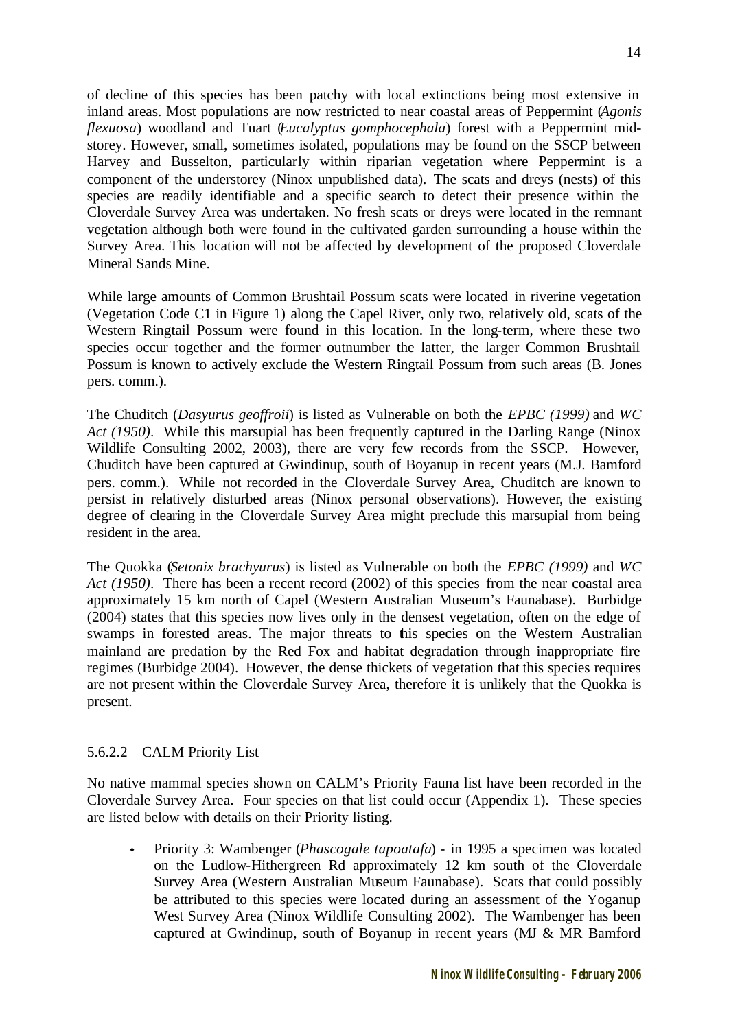of decline of this species has been patchy with local extinctions being most extensive in inland areas. Most populations are now restricted to near coastal areas of Peppermint (*Agonis flexuosa*) woodland and Tuart (*Eucalyptus gomphocephala*) forest with a Peppermint midstorey. However, small, sometimes isolated, populations may be found on the SSCP between Harvey and Busselton, particularly within riparian vegetation where Peppermint is a component of the understorey (Ninox unpublished data). The scats and dreys (nests) of this species are readily identifiable and a specific search to detect their presence within the Cloverdale Survey Area was undertaken. No fresh scats or dreys were located in the remnant vegetation although both were found in the cultivated garden surrounding a house within the Survey Area. This location will not be affected by development of the proposed Cloverdale Mineral Sands Mine.

While large amounts of Common Brushtail Possum scats were located in riverine vegetation (Vegetation Code C1 in Figure 1) along the Capel River, only two, relatively old, scats of the Western Ringtail Possum were found in this location. In the long-term, where these two species occur together and the former outnumber the latter, the larger Common Brushtail Possum is known to actively exclude the Western Ringtail Possum from such areas (B. Jones pers. comm.).

The Chuditch (*Dasyurus geoffroii*) is listed as Vulnerable on both the *EPBC (1999)* and *WC Act (1950)*. While this marsupial has been frequently captured in the Darling Range (Ninox Wildlife Consulting 2002, 2003), there are very few records from the SSCP. However, Chuditch have been captured at Gwindinup, south of Boyanup in recent years (M.J. Bamford pers. comm.). While not recorded in the Cloverdale Survey Area, Chuditch are known to persist in relatively disturbed areas (Ninox personal observations). However, the existing degree of clearing in the Cloverdale Survey Area might preclude this marsupial from being resident in the area.

The Quokka (*Setonix brachyurus*) is listed as Vulnerable on both the *EPBC (1999)* and *WC Act (1950)*. There has been a recent record (2002) of this species from the near coastal area approximately 15 km north of Capel (Western Australian Museum's Faunabase). Burbidge (2004) states that this species now lives only in the densest vegetation, often on the edge of swamps in forested areas. The major threats to this species on the Western Australian mainland are predation by the Red Fox and habitat degradation through inappropriate fire regimes (Burbidge 2004). However, the dense thickets of vegetation that this species requires are not present within the Cloverdale Survey Area, therefore it is unlikely that the Quokka is present.

## 5.6.2.2 CALM Priority List

No native mammal species shown on CALM's Priority Fauna list have been recorded in the Cloverdale Survey Area. Four species on that list could occur (Appendix 1). These species are listed below with details on their Priority listing.

<sup>w</sup> Priority 3: Wambenger (*Phascogale tapoatafa*) - in 1995 a specimen was located on the Ludlow-Hithergreen Rd approximately 12 km south of the Cloverdale Survey Area (Western Australian Museum Faunabase). Scats that could possibly be attributed to this species were located during an assessment of the Yoganup West Survey Area (Ninox Wildlife Consulting 2002). The Wambenger has been captured at Gwindinup, south of Boyanup in recent years (MJ & MR Bamford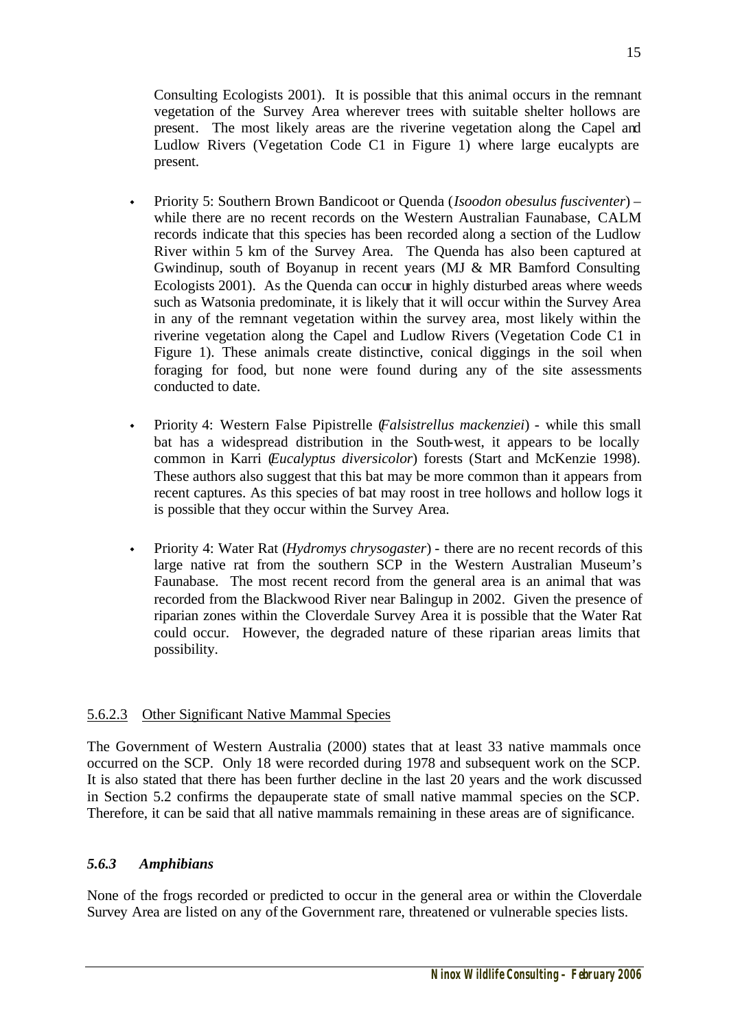Consulting Ecologists 2001). It is possible that this animal occurs in the remnant vegetation of the Survey Area wherever trees with suitable shelter hollows are present. The most likely areas are the riverine vegetation along the Capel and Ludlow Rivers (Vegetation Code C1 in Figure 1) where large eucalypts are present.

- <sup>w</sup> Priority 5: Southern Brown Bandicoot or Quenda (*Isoodon obesulus fusciventer*) while there are no recent records on the Western Australian Faunabase, CALM records indicate that this species has been recorded along a section of the Ludlow River within 5 km of the Survey Area. The Quenda has also been captured at Gwindinup, south of Boyanup in recent years (MJ & MR Bamford Consulting Ecologists 2001). As the Quenda can occur in highly disturbed areas where weeds such as Watsonia predominate, it is likely that it will occur within the Survey Area in any of the remnant vegetation within the survey area, most likely within the riverine vegetation along the Capel and Ludlow Rivers (Vegetation Code C1 in Figure 1). These animals create distinctive, conical diggings in the soil when foraging for food, but none were found during any of the site assessments conducted to date.
- <sup>w</sup> Priority 4: Western False Pipistrelle (*Falsistrellus mackenziei*) while this small bat has a widespread distribution in the South-west, it appears to be locally common in Karri (*Eucalyptus diversicolor*) forests (Start and McKenzie 1998). These authors also suggest that this bat may be more common than it appears from recent captures. As this species of bat may roost in tree hollows and hollow logs it is possible that they occur within the Survey Area.
- <sup>w</sup> Priority 4: Water Rat (*Hydromys chrysogaster*) there are no recent records of this large native rat from the southern SCP in the Western Australian Museum's Faunabase. The most recent record from the general area is an animal that was recorded from the Blackwood River near Balingup in 2002. Given the presence of riparian zones within the Cloverdale Survey Area it is possible that the Water Rat could occur. However, the degraded nature of these riparian areas limits that possibility.

### 5.6.2.3 Other Significant Native Mammal Species

The Government of Western Australia (2000) states that at least 33 native mammals once occurred on the SCP. Only 18 were recorded during 1978 and subsequent work on the SCP. It is also stated that there has been further decline in the last 20 years and the work discussed in Section 5.2 confirms the depauperate state of small native mammal species on the SCP. Therefore, it can be said that all native mammals remaining in these areas are of significance.

## *5.6.3 Amphibians*

None of the frogs recorded or predicted to occur in the general area or within the Cloverdale Survey Area are listed on any of the Government rare, threatened or vulnerable species lists.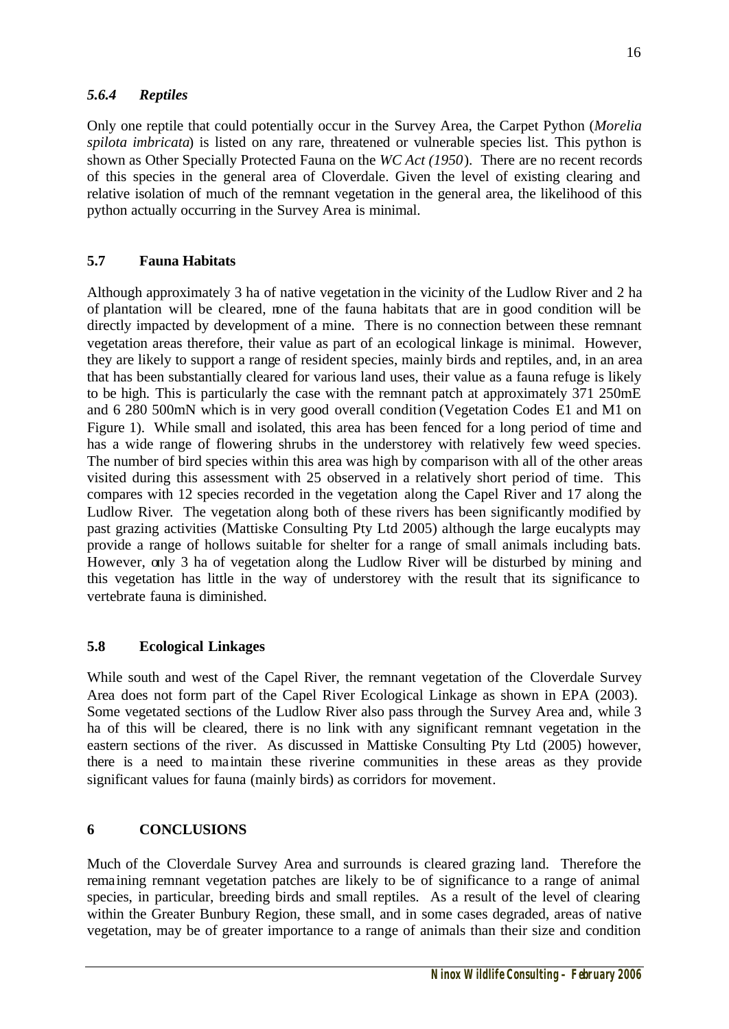## *5.6.4 Reptiles*

Only one reptile that could potentially occur in the Survey Area, the Carpet Python (*Morelia spilota imbricata*) is listed on any rare, threatened or vulnerable species list. This python is shown as Other Specially Protected Fauna on the *WC Act (1950*). There are no recent records of this species in the general area of Cloverdale. Given the level of existing clearing and relative isolation of much of the remnant vegetation in the general area, the likelihood of this python actually occurring in the Survey Area is minimal.

## **5.7 Fauna Habitats**

Although approximately 3 ha of native vegetation in the vicinity of the Ludlow River and 2 ha of plantation will be cleared, none of the fauna habitats that are in good condition will be directly impacted by development of a mine. There is no connection between these remnant vegetation areas therefore, their value as part of an ecological linkage is minimal. However, they are likely to support a range of resident species, mainly birds and reptiles, and, in an area that has been substantially cleared for various land uses, their value as a fauna refuge is likely to be high. This is particularly the case with the remnant patch at approximately 371 250mE and 6 280 500mN which is in very good overall condition (Vegetation Codes E1 and M1 on Figure 1). While small and isolated, this area has been fenced for a long period of time and has a wide range of flowering shrubs in the understorey with relatively few weed species. The number of bird species within this area was high by comparison with all of the other areas visited during this assessment with 25 observed in a relatively short period of time. This compares with 12 species recorded in the vegetation along the Capel River and 17 along the Ludlow River. The vegetation along both of these rivers has been significantly modified by past grazing activities (Mattiske Consulting Pty Ltd 2005) although the large eucalypts may provide a range of hollows suitable for shelter for a range of small animals including bats. However, only 3 ha of vegetation along the Ludlow River will be disturbed by mining and this vegetation has little in the way of understorey with the result that its significance to vertebrate fauna is diminished.

### **5.8 Ecological Linkages**

While south and west of the Capel River, the remnant vegetation of the Cloverdale Survey Area does not form part of the Capel River Ecological Linkage as shown in EPA (2003). Some vegetated sections of the Ludlow River also pass through the Survey Area and, while 3 ha of this will be cleared, there is no link with any significant remnant vegetation in the eastern sections of the river. As discussed in Mattiske Consulting Pty Ltd (2005) however, there is a need to maintain these riverine communities in these areas as they provide significant values for fauna (mainly birds) as corridors for movement.

## **6 CONCLUSIONS**

Much of the Cloverdale Survey Area and surrounds is cleared grazing land. Therefore the remaining remnant vegetation patches are likely to be of significance to a range of animal species, in particular, breeding birds and small reptiles. As a result of the level of clearing within the Greater Bunbury Region, these small, and in some cases degraded, areas of native vegetation, may be of greater importance to a range of animals than their size and condition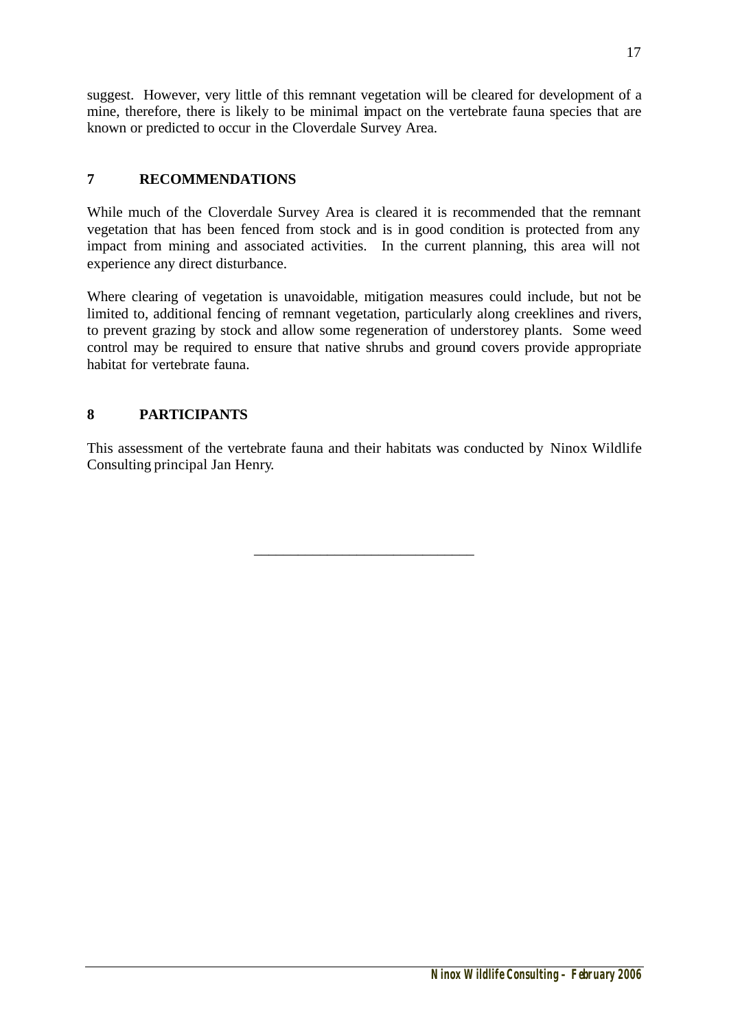suggest. However, very little of this remnant vegetation will be cleared for development of a mine, therefore, there is likely to be minimal impact on the vertebrate fauna species that are known or predicted to occur in the Cloverdale Survey Area.

## **7 RECOMMENDATIONS**

While much of the Cloverdale Survey Area is cleared it is recommended that the remnant vegetation that has been fenced from stock and is in good condition is protected from any impact from mining and associated activities. In the current planning, this area will not experience any direct disturbance.

Where clearing of vegetation is unavoidable, mitigation measures could include, but not be limited to, additional fencing of remnant vegetation, particularly along creeklines and rivers, to prevent grazing by stock and allow some regeneration of understorey plants. Some weed control may be required to ensure that native shrubs and ground covers provide appropriate habitat for vertebrate fauna.

## **8 PARTICIPANTS**

This assessment of the vertebrate fauna and their habitats was conducted by Ninox Wildlife Consulting principal Jan Henry.

\_\_\_\_\_\_\_\_\_\_\_\_\_\_\_\_\_\_\_\_\_\_\_\_\_\_\_\_\_\_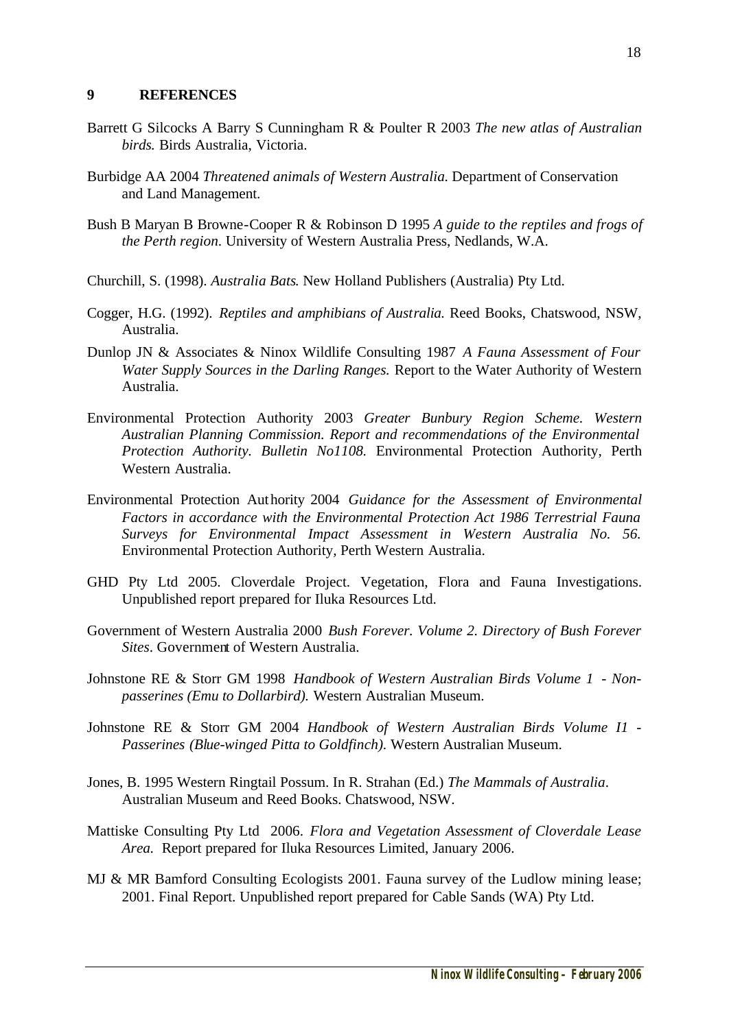#### **9 REFERENCES**

- Barrett G Silcocks A Barry S Cunningham R & Poulter R 2003 *The new atlas of Australian birds.* Birds Australia, Victoria.
- Burbidge AA 2004 *Threatened animals of Western Australia.* Department of Conservation and Land Management.
- Bush B Maryan B Browne-Cooper R & Robinson D 1995 *A guide to the reptiles and frogs of the Perth region*. University of Western Australia Press, Nedlands, W.A.
- Churchill, S. (1998). *Australia Bats*. New Holland Publishers (Australia) Pty Ltd.
- Cogger, H.G. (1992). *Reptiles and amphibians of Australia.* Reed Books, Chatswood, NSW, Australia.
- Dunlop JN & Associates & Ninox Wildlife Consulting 1987 *A Fauna Assessment of Four Water Supply Sources in the Darling Ranges.* Report to the Water Authority of Western Australia.
- Environmental Protection Authority 2003 *Greater Bunbury Region Scheme. Western Australian Planning Commission. Report and recommendations of the Environmental Protection Authority. Bulletin No1108.* Environmental Protection Authority, Perth Western Australia.
- Environmental Protection Authority 2004 *Guidance for the Assessment of Environmental Factors in accordance with the Environmental Protection Act 1986 Terrestrial Fauna Surveys for Environmental Impact Assessment in Western Australia No. 56.* Environmental Protection Authority, Perth Western Australia.
- GHD Pty Ltd 2005. Cloverdale Project. Vegetation, Flora and Fauna Investigations. Unpublished report prepared for Iluka Resources Ltd.
- Government of Western Australia 2000 *Bush Forever. Volume 2. Directory of Bush Forever Sites*. Government of Western Australia.
- Johnstone RE & Storr GM 1998 *Handbook of Western Australian Birds Volume 1 Nonpasserines (Emu to Dollarbird).* Western Australian Museum.
- Johnstone RE & Storr GM 2004 *Handbook of Western Australian Birds Volume I1 - Passerines (Blue-winged Pitta to Goldfinch).* Western Australian Museum.
- Jones, B. 1995 Western Ringtail Possum. In R. Strahan (Ed.) *The Mammals of Australia*. Australian Museum and Reed Books. Chatswood, NSW.
- Mattiske Consulting Pty Ltd 2006. *Flora and Vegetation Assessment of Cloverdale Lease Area.* Report prepared for Iluka Resources Limited, January 2006.
- MJ & MR Bamford Consulting Ecologists 2001. Fauna survey of the Ludlow mining lease; 2001. Final Report. Unpublished report prepared for Cable Sands (WA) Pty Ltd.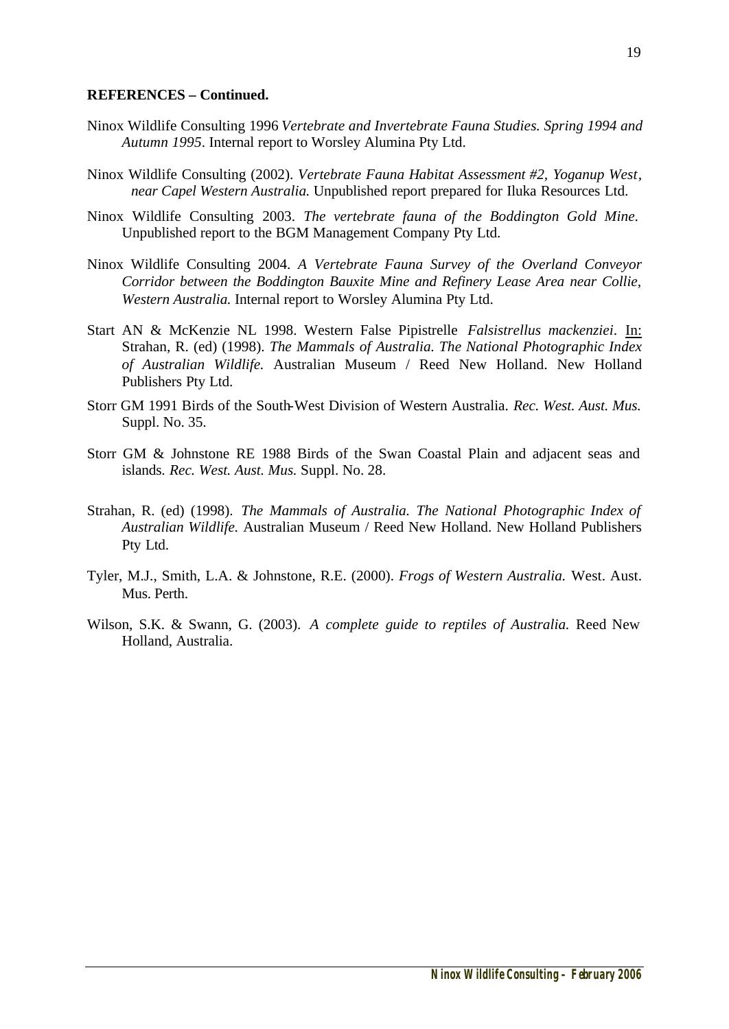#### **REFERENCES – Continued.**

- Ninox Wildlife Consulting 1996 *Vertebrate and Invertebrate Fauna Studies. Spring 1994 and Autumn 1995*. Internal report to Worsley Alumina Pty Ltd.
- Ninox Wildlife Consulting (2002). *Vertebrate Fauna Habitat Assessment #2, Yoganup West, near Capel Western Australia.* Unpublished report prepared for Iluka Resources Ltd.
- Ninox Wildlife Consulting 2003. *The vertebrate fauna of the Boddington Gold Mine.*  Unpublished report to the BGM Management Company Pty Ltd.
- Ninox Wildlife Consulting 2004. *A Vertebrate Fauna Survey of the Overland Conveyor Corridor between the Boddington Bauxite Mine and Refinery Lease Area near Collie, Western Australia.* Internal report to Worsley Alumina Pty Ltd.
- Start AN & McKenzie NL 1998. Western False Pipistrelle *Falsistrellus mackenziei*. In: Strahan, R. (ed) (1998). *The Mammals of Australia. The National Photographic Index of Australian Wildlife.* Australian Museum / Reed New Holland. New Holland Publishers Pty Ltd.
- Storr GM 1991 Birds of the South-West Division of Western Australia. *Rec. West. Aust. Mus.* Suppl. No. 35.
- Storr GM & Johnstone RE 1988 Birds of the Swan Coastal Plain and adjacent seas and islands. *Rec. West. Aust. Mus.* Suppl. No. 28.
- Strahan, R. (ed) (1998). *The Mammals of Australia. The National Photographic Index of Australian Wildlife.* Australian Museum / Reed New Holland. New Holland Publishers Pty Ltd.
- Tyler, M.J., Smith, L.A. & Johnstone, R.E. (2000). *Frogs of Western Australia.* West. Aust. Mus. Perth.
- Wilson, S.K. & Swann, G. (2003). *A complete guide to reptiles of Australia.* Reed New Holland, Australia.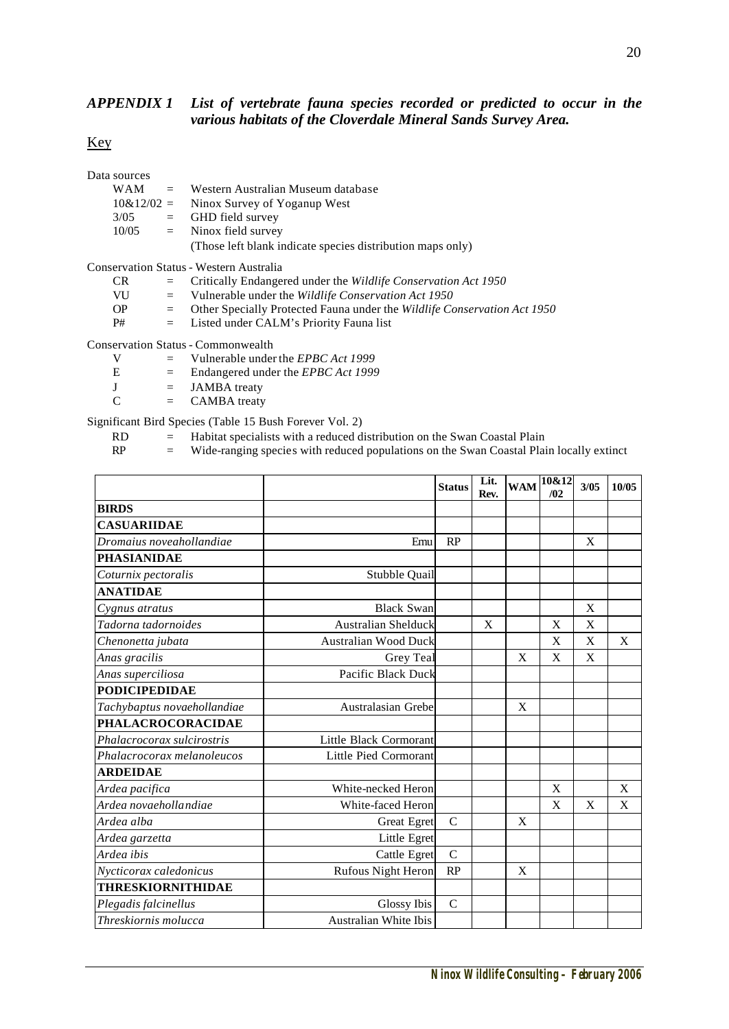#### *APPENDIX 1 List of vertebrate fauna species recorded or predicted to occur in the various habitats of the Cloverdale Mineral Sands Survey Area.*

#### Key

| Data sources |                                                            |
|--------------|------------------------------------------------------------|
|              | $WAM =$ Western Australian Museum database                 |
|              | $10\&12/02 =$ Ninox Survey of Yoganup West                 |
| 3/05         | $=$ GHD field survey                                       |
| 10/05        | $=$ Ninox field survey                                     |
|              | (Those left blank indicate species distribution maps only) |

Conservation Status - Western Australia

| CR |  |  | Critically Endangered under the Wildlife Conservation Act 1950 |  |
|----|--|--|----------------------------------------------------------------|--|
|    |  |  |                                                                |  |

- VU = Vulnerable under the *Wildlife Conservation Act 1950*
- OP = Other Specially Protected Fauna under the *Wildlife Conservation Act 1950*
- P# = Listed under CALM's Priority Fauna list

Conservation Status - Commonwealth

|  |  |  | Vulnerable under the <i>EPBC Act</i> 1999 |                                    |
|--|--|--|-------------------------------------------|------------------------------------|
|  |  |  | $\sim$ $\sim$ $\sim$ $\sim$               | $\rightarrow$ $\sim$ $\sim$ $\sim$ |

- E = Endangered under the *EPBC Act 1999*
- $J = JAMBA$  treaty
- $C = CAMBA$  treaty

Significant Bird Species (Table 15 Bush Forever Vol. 2)

- 
- $RD$  = Habitat specialists with a reduced distribution on the Swan Coastal Plain<br>RP = Wide-ranging species with reduced populations on the Swan Coastal Pla
	- = Wide-ranging species with reduced populations on the Swan Coastal Plain locally extinct

|                             |                              | <b>Status</b> | Lit.<br>Rev. | <b>WAM</b> | 10&12<br>/02 | 3/05 | 10/05 |
|-----------------------------|------------------------------|---------------|--------------|------------|--------------|------|-------|
| <b>BIRDS</b>                |                              |               |              |            |              |      |       |
| <b>CASUARIIDAE</b>          |                              |               |              |            |              |      |       |
| Dromaius noveahollandiae    | Emu                          | RP            |              |            |              | X    |       |
| <b>PHASIANIDAE</b>          |                              |               |              |            |              |      |       |
| Coturnix pectoralis         | Stubble Quail                |               |              |            |              |      |       |
| <b>ANATIDAE</b>             |                              |               |              |            |              |      |       |
| Cygnus atratus              | <b>Black Swan</b>            |               |              |            |              | X    |       |
| Tadorna tadornoides         | <b>Australian Shelduck</b>   |               | X            |            | X            | X    |       |
| Chenonetta jubata           | <b>Australian Wood Duck</b>  |               |              |            | X            | X    | X     |
| Anas gracilis               | Grey Teal                    |               |              | X          | X            | X    |       |
| Anas superciliosa           | Pacific Black Duck           |               |              |            |              |      |       |
| <b>PODICIPEDIDAE</b>        |                              |               |              |            |              |      |       |
| Tachybaptus novaehollandiae | Australasian Grebe           |               |              | X          |              |      |       |
| PHALACROCORACIDAE           |                              |               |              |            |              |      |       |
| Phalacrocorax sulcirostris  | Little Black Cormorant       |               |              |            |              |      |       |
| Phalacrocorax melanoleucos  | Little Pied Cormorant        |               |              |            |              |      |       |
| <b>ARDEIDAE</b>             |                              |               |              |            |              |      |       |
| Ardea pacifica              | White-necked Heron           |               |              |            | X            |      | X     |
| Ardea novaehollandiae       | White-faced Heron            |               |              |            | X            | X    | X     |
| Ardea alba                  | <b>Great Egret</b>           | $\mathcal{C}$ |              | X          |              |      |       |
| Ardea garzetta              | Little Egret                 |               |              |            |              |      |       |
| Ardea ibis                  | <b>Cattle Egret</b>          | $\mathbf C$   |              |            |              |      |       |
| Nycticorax caledonicus      | Rufous Night Heron           | RP            |              | X          |              |      |       |
| <b>THRESKIORNITHIDAE</b>    |                              |               |              |            |              |      |       |
| Plegadis falcinellus        | Glossy Ibis                  | $\mathcal{C}$ |              |            |              |      |       |
| Threskiornis molucca        | <b>Australian White Ibis</b> |               |              |            |              |      |       |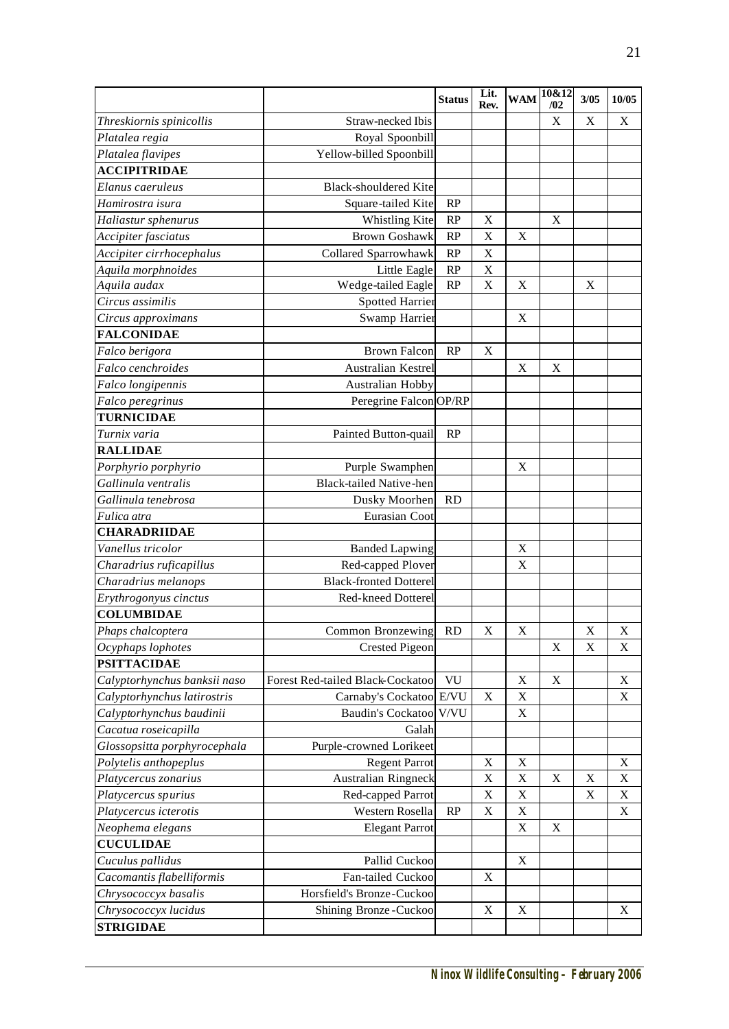|                                     |                                            | <b>Status</b> | Lit.        | <b>WAM</b>  | 10&12       | 3/05         | 10/05       |
|-------------------------------------|--------------------------------------------|---------------|-------------|-------------|-------------|--------------|-------------|
|                                     | Straw-necked Ibis                          |               | Rev.        |             | /02<br>X    | $\mathbf X$  | X           |
| Threskiornis spinicollis            |                                            |               |             |             |             |              |             |
| Platalea regia<br>Platalea flavipes | Royal Spoonbill<br>Yellow-billed Spoonbill |               |             |             |             |              |             |
| <b>ACCIPITRIDAE</b>                 |                                            |               |             |             |             |              |             |
| Elanus caeruleus                    | <b>Black-shouldered Kite</b>               |               |             |             |             |              |             |
| Hamirostra isura                    | Square-tailed Kite                         | RP            |             |             |             |              |             |
| Haliastur sphenurus                 | Whistling Kite                             | RP            | X           |             | X           |              |             |
| Accipiter fasciatus                 | <b>Brown Goshawk</b>                       | RP            | $\mathbf X$ | $\mathbf X$ |             |              |             |
| Accipiter cirrhocephalus            | Collared Sparrowhawk                       | RP            | X           |             |             |              |             |
| Aquila morphnoides                  | Little Eagle                               | RP            | X           |             |             |              |             |
| Aquila audax                        | Wedge-tailed Eagle                         | RP            | X           | X           |             | X            |             |
| Circus assimilis                    | <b>Spotted Harrier</b>                     |               |             |             |             |              |             |
| Circus approximans                  | Swamp Harrier                              |               |             | X           |             |              |             |
| <b>FALCONIDAE</b>                   |                                            |               |             |             |             |              |             |
| Falco berigora                      | <b>Brown Falcon</b>                        | RP            | X           |             |             |              |             |
| Falco cenchroides                   | Australian Kestrel                         |               |             | X           | X           |              |             |
| Falco longipennis                   | Australian Hobby                           |               |             |             |             |              |             |
| Falco peregrinus                    | Peregrine Falcon OP/RP                     |               |             |             |             |              |             |
| <b>TURNICIDAE</b>                   |                                            |               |             |             |             |              |             |
| Turnix varia                        | Painted Button-quail                       | RP            |             |             |             |              |             |
| <b>RALLIDAE</b>                     |                                            |               |             |             |             |              |             |
| Porphyrio porphyrio                 | Purple Swamphen                            |               |             | X           |             |              |             |
| Gallinula ventralis                 | Black-tailed Native-hen                    |               |             |             |             |              |             |
| Gallinula tenebrosa                 | Dusky Moorhen                              | RD            |             |             |             |              |             |
| Fulica atra                         | Eurasian Coot                              |               |             |             |             |              |             |
| <b>CHARADRIIDAE</b>                 |                                            |               |             |             |             |              |             |
| Vanellus tricolor                   | <b>Banded Lapwing</b>                      |               |             | X           |             |              |             |
| Charadrius ruficapillus             | Red-capped Plover                          |               |             | X           |             |              |             |
| Charadrius melanops                 | <b>Black-fronted Dotterel</b>              |               |             |             |             |              |             |
| Erythrogonyus cinctus               | Red-kneed Dotterel                         |               |             |             |             |              |             |
| <b>COLUMBIDAE</b>                   |                                            |               |             |             |             |              |             |
| Phaps chalcoptera                   | Common Bronzewing RD                       |               | X           | $\mathbf X$ |             | $\mathbf{X}$ | $\mathbf X$ |
| Ocyphaps lophotes                   | <b>Crested Pigeon</b>                      |               |             |             | X           | $\mathbf X$  | X           |
| <b>PSITTACIDAE</b>                  |                                            |               |             |             |             |              |             |
| Calyptorhynchus banksii naso        | Forest Red-tailed Black-Cockatool          | VU            |             | X           | X           |              | X           |
| Calyptorhynchus latirostris         | Carnaby's Cockatoo E/VU                    |               | $\mathbf X$ | X           |             |              | X           |
| Calyptorhynchus baudinii            | Baudin's Cockatoo V/VU                     |               |             | $\mathbf X$ |             |              |             |
| Cacatua roseicapilla                | Galah                                      |               |             |             |             |              |             |
| Glossopsitta porphyrocephala        | Purple-crowned Lorikeet                    |               |             |             |             |              |             |
| Polytelis anthopeplus               | <b>Regent Parrot</b>                       |               | X           | $\mathbf X$ |             |              | X           |
| Platycercus zonarius                | Australian Ringneck                        |               | X           | $\mathbf X$ | $\mathbf X$ | $\mathbf X$  | $\mathbf X$ |
| Platycercus spurius                 | Red-capped Parrot                          |               | X           | $\mathbf X$ |             | X            | X           |
| Platycercus icterotis               | Western Rosella                            | RP            | X           | $\mathbf X$ |             |              | X           |
| Neophema elegans                    | <b>Elegant Parrot</b>                      |               |             | $\mathbf X$ | X           |              |             |
| <b>CUCULIDAE</b>                    |                                            |               |             |             |             |              |             |
| Cuculus pallidus                    | Pallid Cuckoo                              |               |             | $\mathbf X$ |             |              |             |
| Cacomantis flabelliformis           | Fan-tailed Cuckoo                          |               | $\mathbf X$ |             |             |              |             |
| Chrysococcyx basalis                | Horsfield's Bronze-Cuckoo                  |               |             |             |             |              |             |
| Chrysococcyx lucidus                | Shining Bronze-Cuckoo                      |               | $\mathbf X$ | $\mathbf X$ |             |              | X           |
| <b>STRIGIDAE</b>                    |                                            |               |             |             |             |              |             |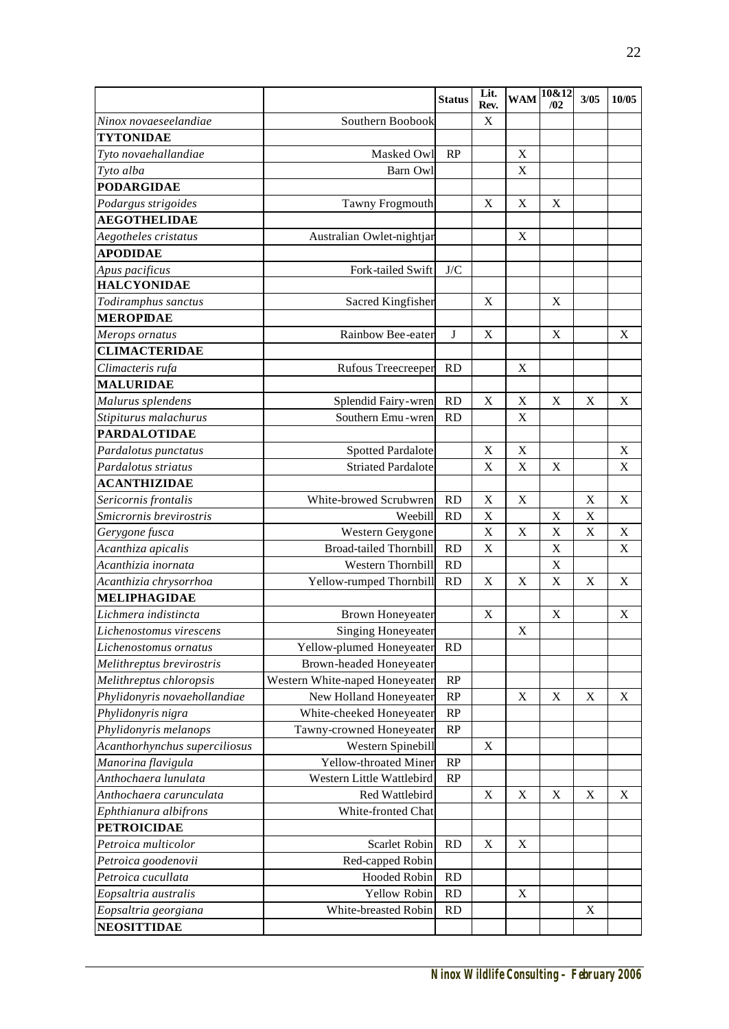|                                        |                                | <b>Status</b>           | Lit.<br>Rev. | <b>WAM</b>  | 10&12<br>/02 | 3/05        | 10/05       |
|----------------------------------------|--------------------------------|-------------------------|--------------|-------------|--------------|-------------|-------------|
| Ninox novaeseelandiae                  | Southern Boobook               |                         | $\mathbf X$  |             |              |             |             |
| <b>TYTONIDAE</b>                       |                                |                         |              |             |              |             |             |
| Tyto novaehallandiae                   | Masked Owl                     | RP                      |              | $\mathbf X$ |              |             |             |
| Tyto alba                              | Barn Owl                       |                         |              | $\mathbf X$ |              |             |             |
| <b>PODARGIDAE</b>                      |                                |                         |              |             |              |             |             |
| Podargus strigoides                    | Tawny Frogmouth                |                         | X            | $\mathbf X$ | X            |             |             |
| <b>AEGOTHELIDAE</b>                    |                                |                         |              |             |              |             |             |
| Aegotheles cristatus                   | Australian Owlet-nightjar      |                         |              | $\mathbf X$ |              |             |             |
| <b>APODIDAE</b>                        |                                |                         |              |             |              |             |             |
| Apus pacificus                         | Fork-tailed Swift              | ${\rm J/C}$             |              |             |              |             |             |
| <b>HALCYONIDAE</b>                     |                                |                         |              |             |              |             |             |
| Todiramphus sanctus                    | Sacred Kingfisher              |                         | X            |             | X            |             |             |
| <b>MEROPIDAE</b>                       |                                |                         |              |             |              |             |             |
|                                        | Rainbow Bee-eater              | J                       | X            |             | X            |             | Χ           |
| Merops ornatus<br><b>CLIMACTERIDAE</b> |                                |                         |              |             |              |             |             |
|                                        |                                | <b>RD</b>               |              | X           |              |             |             |
| Climacteris rufa<br><b>MALURIDAE</b>   | <b>Rufous Treecreeper</b>      |                         |              |             |              |             |             |
|                                        |                                |                         |              |             |              |             |             |
| Malurus splendens                      | Splendid Fairy-wren            | RD                      | X            | X           | X            | X           | X           |
| Stipiturus malachurus                  | Southern Emu - wren            | <b>RD</b>               |              | X           |              |             |             |
| <b>PARDALOTIDAE</b>                    |                                |                         |              |             |              |             |             |
| Pardalotus punctatus                   | <b>Spotted Pardalote</b>       |                         | $\mathbf X$  | X           |              |             | X           |
| Pardalotus striatus                    | <b>Striated Pardalote</b>      |                         | Χ            | X           | X            |             | X           |
| <b>ACANTHIZIDAE</b>                    |                                |                         |              |             |              |             |             |
| Sericornis frontalis                   | White-browed Scrubwren         | <b>RD</b>               | X            | X           |              | X           | X           |
| Smicrornis brevirostris                | Weebill                        | <b>RD</b>               | $\mathbf X$  |             | $\mathbf X$  | $\mathbf X$ |             |
| Gerygone fusca                         | Western Gerygone               |                         | $\mathbf X$  | $\mathbf X$ | $\mathbf X$  | X           | X           |
| Acanthiza apicalis                     | <b>Broad-tailed Thornbill</b>  | RD                      | X            |             | X            |             | $\mathbf X$ |
| Acanthizia inornata                    | Western Thornbill              | <b>RD</b>               |              |             | X            |             |             |
| Acanthizia chrysorrhoa                 | Yellow-rumped Thornbill        | RD                      | $\mathbf X$  | $\mathbf X$ | X            | $\mathbf X$ | $\mathbf X$ |
| <b>MELIPHAGIDAE</b>                    |                                |                         |              |             |              |             |             |
| Lichmera indistincta                   | <b>Brown Honeyeater</b>        |                         | X            |             | $\mathbf X$  |             | X           |
| Lichenostomus virescens                | <b>Singing Honeyeater</b>      |                         |              | X           |              |             |             |
| Lichenostomus ornatus                  | Yellow-plumed Honeyeater       | RD                      |              |             |              |             |             |
| Melithreptus brevirostris              | <b>Brown-headed Honeyeater</b> |                         |              |             |              |             |             |
| Melithreptus chloropsis                | Western White-naped Honeyeater | RP                      |              |             |              |             |             |
| Phylidonyris novaehollandiae           | New Holland Honeyeater         | RP                      |              | X           | X            | X           | X           |
| Phylidonyris nigra                     | White-cheeked Honeyeater       | RP                      |              |             |              |             |             |
| Phylidonyris melanops                  | Tawny-crowned Honeyeater       | RP                      |              |             |              |             |             |
| Acanthorhynchus superciliosus          | Western Spinebill              |                         | X            |             |              |             |             |
| Manorina flavigula                     | Yellow-throated Miner          | RP                      |              |             |              |             |             |
| Anthochaera lunulata                   | Western Little Wattlebird      | RP                      |              |             |              |             |             |
| Anthochaera carunculata                | Red Wattlebird                 |                         | $\mathbf X$  | $\mathbf X$ | X            | $\mathbf X$ | X           |
| Ephthianura albifrons                  | White-fronted Chat             |                         |              |             |              |             |             |
| <b>PETROICIDAE</b>                     |                                |                         |              |             |              |             |             |
| Petroica multicolor                    | Scarlet Robin                  | <b>RD</b>               | $\mathbf X$  | X           |              |             |             |
| Petroica goodenovii                    | Red-capped Robin               |                         |              |             |              |             |             |
| Petroica cucullata                     | Hooded Robin                   | $\mathbb{R}\mathcal{D}$ |              |             |              |             |             |
| Eopsaltria australis                   | Yellow Robin                   | RD                      |              | X           |              |             |             |
| Eopsaltria georgiana                   | White-breasted Robin           | <b>RD</b>               |              |             |              | $\mathbf X$ |             |
| <b>NEOSITTIDAE</b>                     |                                |                         |              |             |              |             |             |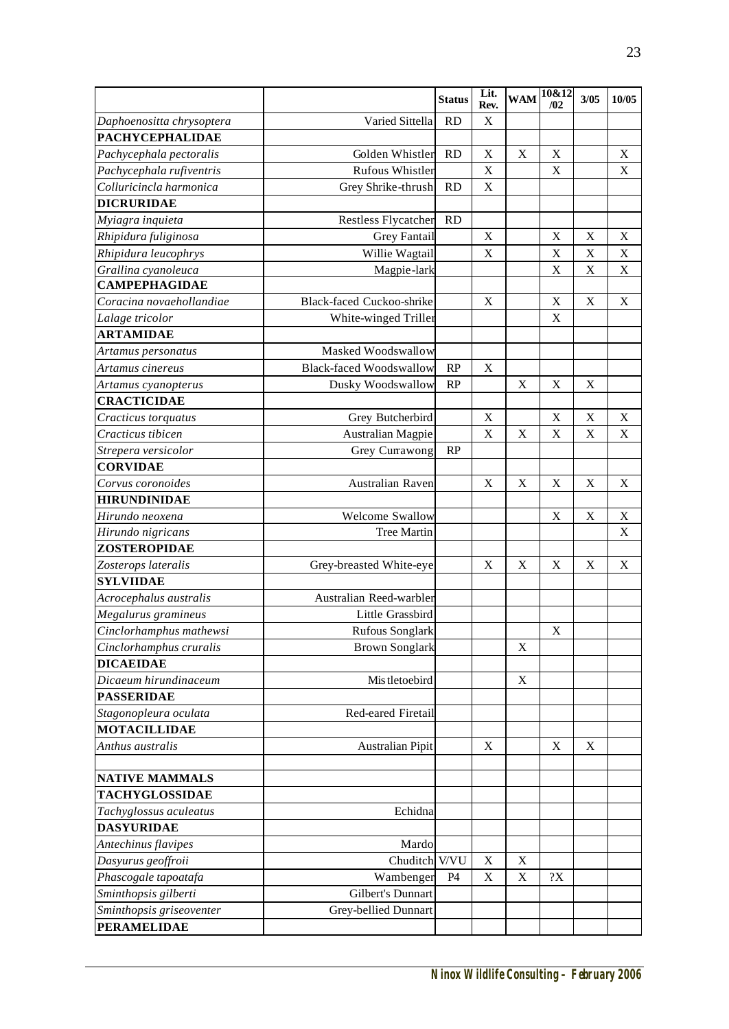|                                             |                                  | <b>Status</b> | Lit.<br>Rev. | <b>WAM</b>  | 10&12<br>/02 | 3/05        | 10/05       |
|---------------------------------------------|----------------------------------|---------------|--------------|-------------|--------------|-------------|-------------|
| Daphoenositta chrysoptera                   | Varied Sittella                  | <b>RD</b>     | X            |             |              |             |             |
| <b>PACHYCEPHALIDAE</b>                      |                                  |               |              |             |              |             |             |
| Pachycephala pectoralis                     | Golden Whistler                  | <b>RD</b>     | X            | $\mathbf X$ | X            |             | $\mathbf X$ |
| Pachycephala rufiventris                    | <b>Rufous Whistler</b>           |               | X            |             | X            |             | X           |
| Colluricincla harmonica                     | Grey Shrike-thrush               | <b>RD</b>     | X            |             |              |             |             |
| <b>DICRURIDAE</b>                           |                                  |               |              |             |              |             |             |
|                                             | <b>Restless Flycatcher</b>       | <b>RD</b>     |              |             |              |             |             |
| Myiagra inquieta<br>Rhipidura fuliginosa    | <b>Grey Fantail</b>              |               | $\mathbf X$  |             | X            | $\mathbf X$ | $\mathbf X$ |
|                                             |                                  |               | X            |             | $\mathbf X$  | X           | X           |
| Rhipidura leucophrys                        | Willie Wagtail                   |               |              |             |              |             |             |
| Grallina cyanoleuca<br><b>CAMPEPHAGIDAE</b> | Magpie-lark                      |               |              |             | X            | X           | $\mathbf X$ |
|                                             |                                  |               |              |             |              |             |             |
| Coracina novaehollandiae                    | <b>Black-faced Cuckoo-shrike</b> |               | $\mathbf X$  |             | $\mathbf X$  | $\mathbf X$ | $\mathbf X$ |
| Lalage tricolor                             | White-winged Triller             |               |              |             | X            |             |             |
| <b>ARTAMIDAE</b>                            |                                  |               |              |             |              |             |             |
| Artamus personatus                          | Masked Woodswallow               |               |              |             |              |             |             |
| Artamus cinereus                            | <b>Black-faced Woodswallow</b>   | RP            | $\mathbf X$  |             |              |             |             |
| Artamus cyanopterus                         | Dusky Woodswallow                | RP            |              | X           | X            | X           |             |
| <b>CRACTICIDAE</b>                          |                                  |               |              |             |              |             |             |
| Cracticus torquatus                         | Grey Butcherbird                 |               | X            |             | X            | X           | X           |
| Cracticus tibicen                           | <b>Australian Magpie</b>         |               | $\mathbf X$  | $\mathbf X$ | X            | $\mathbf X$ | $\mathbf X$ |
| Strepera versicolor                         | Grey Currawong                   | RP            |              |             |              |             |             |
| <b>CORVIDAE</b>                             |                                  |               |              |             |              |             |             |
| Corvus coronoides                           | Australian Raven                 |               | X            | X           | X            | X           | X           |
| <b>HIRUNDINIDAE</b>                         |                                  |               |              |             |              |             |             |
| Hirundo neoxena                             | Welcome Swallow                  |               |              |             | X            | $\mathbf X$ | X           |
| Hirundo nigricans                           | Tree Martin                      |               |              |             |              |             | X           |
| <b>ZOSTEROPIDAE</b>                         |                                  |               |              |             |              |             |             |
| Zosterops lateralis                         | Grey-breasted White-eye          |               | X            | X           | X            | X           | X           |
| <b>SYLVIIDAE</b>                            |                                  |               |              |             |              |             |             |
| Acrocephalus australis                      | Australian Reed-warbler          |               |              |             |              |             |             |
| Megalurus gramineus                         | Little Grassbird                 |               |              |             |              |             |             |
| Cinclorhamphus mathewsi                     | Rufous Songlark                  |               |              |             | X            |             |             |
| Cinclorhamphus cruralis                     | <b>Brown Songlark</b>            |               |              | X           |              |             |             |
| <b>DICAEIDAE</b>                            |                                  |               |              |             |              |             |             |
| Dicaeum hirundinaceum                       | Mis tletoebird                   |               |              | X           |              |             |             |
| <b>PASSERIDAE</b>                           |                                  |               |              |             |              |             |             |
| Stagonopleura oculata                       | Red-eared Firetail               |               |              |             |              |             |             |
| <b>MOTACILLIDAE</b>                         |                                  |               |              |             |              |             |             |
| Anthus australis                            | <b>Australian Pipit</b>          |               | X            |             | X            | X           |             |
| <b>NATIVE MAMMALS</b>                       |                                  |               |              |             |              |             |             |
| <b>TACHYGLOSSIDAE</b>                       |                                  |               |              |             |              |             |             |
| Tachyglossus aculeatus                      | Echidna                          |               |              |             |              |             |             |
| <b>DASYURIDAE</b>                           |                                  |               |              |             |              |             |             |
| Antechinus flavipes                         | Mardo                            |               |              |             |              |             |             |
| Dasyurus geoffroii                          | Chuditch V/VU                    |               | X            | X           |              |             |             |
| Phascogale tapoatafa                        | Wambenger                        | P4            | X            | X           | ?X           |             |             |
| Sminthopsis gilberti                        | Gilbert's Dunnart                |               |              |             |              |             |             |
| Sminthopsis griseoventer                    | Grey-bellied Dunnart             |               |              |             |              |             |             |
| <b>PERAMELIDAE</b>                          |                                  |               |              |             |              |             |             |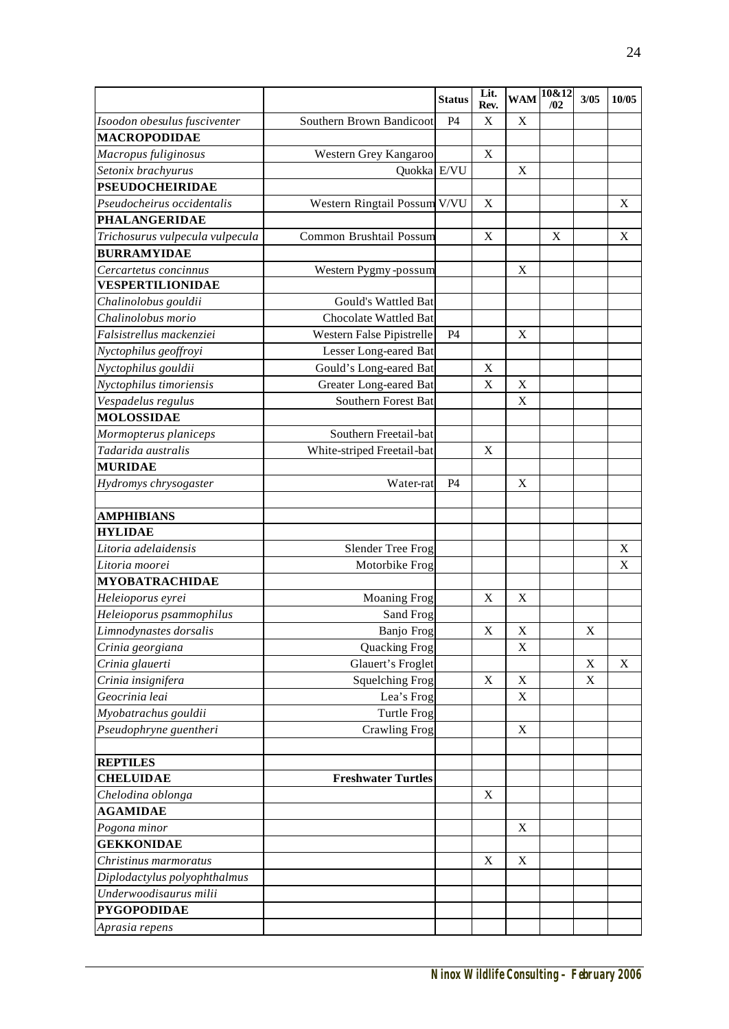|                                 |                              | <b>Status</b> | Lit.<br>Rev. |             | $WAM$ $\sqrt{\frac{10&12}{2}}$<br>/02 | 3/05        | 10/05       |
|---------------------------------|------------------------------|---------------|--------------|-------------|---------------------------------------|-------------|-------------|
| Isoodon obesulus fusciventer    | Southern Brown Bandicoot     | P4            | $\mathbf X$  | X           |                                       |             |             |
| <b>MACROPODIDAE</b>             |                              |               |              |             |                                       |             |             |
| Macropus fuliginosus            | Western Grey Kangaroo        |               | X            |             |                                       |             |             |
| Setonix brachyurus              | Quokka E/VU                  |               |              | X           |                                       |             |             |
| <b>PSEUDOCHEIRIDAE</b>          |                              |               |              |             |                                       |             |             |
| Pseudocheirus occidentalis      | Western Ringtail Possum V/VU |               | X            |             |                                       |             | $\mathbf X$ |
| <b>PHALANGERIDAE</b>            |                              |               |              |             |                                       |             |             |
| Trichosurus vulpecula vulpecula | Common Brushtail Possum      |               | $\mathbf X$  |             | X                                     |             | $\mathbf X$ |
| <b>BURRAMYIDAE</b>              |                              |               |              |             |                                       |             |             |
| Cercartetus concinnus           | Western Pygmy-possum         |               |              | X           |                                       |             |             |
| <b>VESPERTILIONIDAE</b>         |                              |               |              |             |                                       |             |             |
| Chalinolobus gouldii            | Gould's Wattled Bat          |               |              |             |                                       |             |             |
| Chalinolobus morio              | Chocolate Wattled Bat        |               |              |             |                                       |             |             |
| Falsistrellus mackenziei        | Western False Pipistrelle    | P4            |              | X           |                                       |             |             |
| Nyctophilus geoffroyi           | Lesser Long-eared Bat        |               |              |             |                                       |             |             |
| Nyctophilus gouldii             | Gould's Long-eared Bat       |               | X            |             |                                       |             |             |
| Nyctophilus timoriensis         | Greater Long-eared Bat       |               | X            | X           |                                       |             |             |
| Vespadelus regulus              | Southern Forest Bat          |               |              | X           |                                       |             |             |
| <b>MOLOSSIDAE</b>               |                              |               |              |             |                                       |             |             |
| Mormopterus planiceps           | Southern Freetail-bat        |               |              |             |                                       |             |             |
| Tadarida australis              | White-striped Freetail-bat   |               | X            |             |                                       |             |             |
| <b>MURIDAE</b>                  |                              |               |              |             |                                       |             |             |
| Hydromys chrysogaster           | Water-rat                    | P4            |              | X           |                                       |             |             |
|                                 |                              |               |              |             |                                       |             |             |
| <b>AMPHIBIANS</b>               |                              |               |              |             |                                       |             |             |
| <b>HYLIDAE</b>                  |                              |               |              |             |                                       |             |             |
| Litoria adelaidensis            | Slender Tree Frog            |               |              |             |                                       |             | $\mathbf X$ |
| Litoria moorei                  | Motorbike Frog               |               |              |             |                                       |             | X           |
| <b>MYOBATRACHIDAE</b>           |                              |               |              |             |                                       |             |             |
| Heleioporus eyrei               | <b>Moaning Frog</b>          |               | X            | X           |                                       |             |             |
| Heleioporus psammophilus        | Sand Frog                    |               |              |             |                                       |             |             |
| Limnodynastes dorsalis          | Banjo Frog                   |               | X            | $\mathbf X$ |                                       | $\mathbf X$ |             |
| Crinia georgiana                | Quacking Frog                |               |              | $\mathbf X$ |                                       |             |             |
| Crinia glauerti                 | Glauert's Froglet            |               |              |             |                                       | X           | X           |
| Crinia insignifera              | <b>Squelching Frog</b>       |               | $\mathbf X$  | $\mathbf X$ |                                       | $\mathbf X$ |             |
| Geocrinia leai                  | Lea's Frog                   |               |              | $\mathbf X$ |                                       |             |             |
| Myobatrachus gouldii            | <b>Turtle Frog</b>           |               |              |             |                                       |             |             |
| Pseudophryne guentheri          | <b>Crawling Frog</b>         |               |              | $\mathbf X$ |                                       |             |             |
|                                 |                              |               |              |             |                                       |             |             |
| <b>REPTILES</b>                 |                              |               |              |             |                                       |             |             |
| <b>CHELUIDAE</b>                | <b>Freshwater Turtles</b>    |               |              |             |                                       |             |             |
| Chelodina oblonga               |                              |               | $\mathbf X$  |             |                                       |             |             |
| <b>AGAMIDAE</b>                 |                              |               |              |             |                                       |             |             |
| Pogona minor                    |                              |               |              | X           |                                       |             |             |
| <b>GEKKONIDAE</b>               |                              |               |              |             |                                       |             |             |
| Christinus marmoratus           |                              |               | $\mathbf X$  | $\mathbf X$ |                                       |             |             |
| Diplodactylus polyophthalmus    |                              |               |              |             |                                       |             |             |
| Underwoodisaurus milii          |                              |               |              |             |                                       |             |             |
| <b>PYGOPODIDAE</b>              |                              |               |              |             |                                       |             |             |
| Aprasia repens                  |                              |               |              |             |                                       |             |             |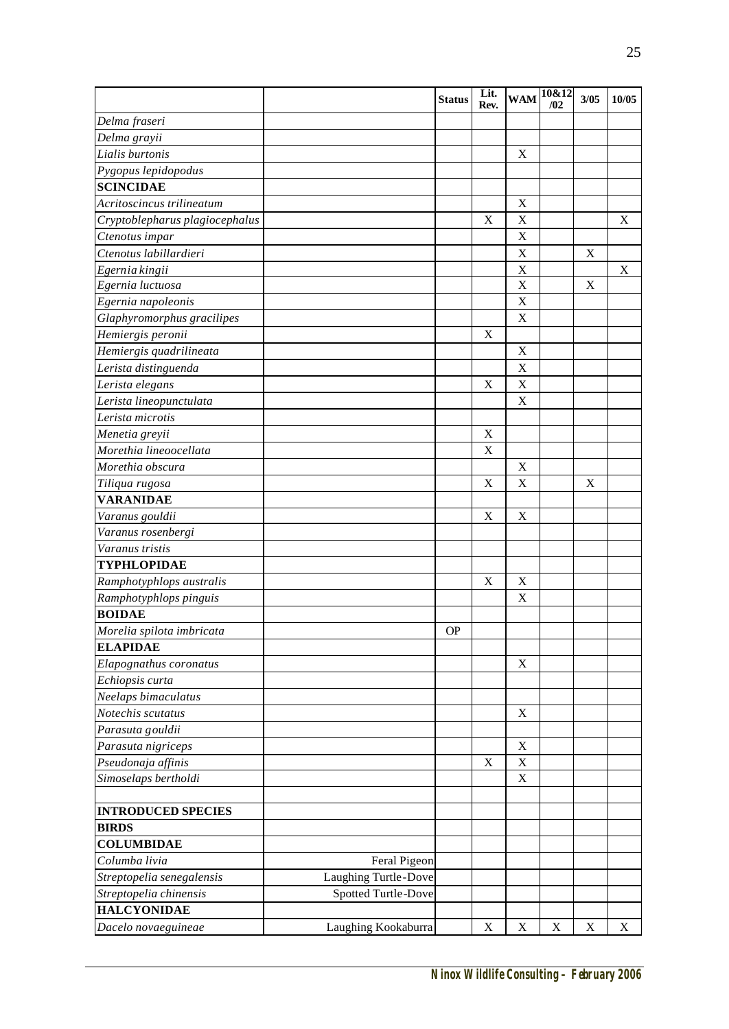|                                |                      | <b>Status</b> | Lit.<br>Rev. | <b>WAM</b>  | 10&12<br>/02 | 3/05        | 10/05                     |
|--------------------------------|----------------------|---------------|--------------|-------------|--------------|-------------|---------------------------|
| Delma fraseri                  |                      |               |              |             |              |             |                           |
| Delma grayii                   |                      |               |              |             |              |             |                           |
| Lialis burtonis                |                      |               |              | X           |              |             |                           |
| Pygopus lepidopodus            |                      |               |              |             |              |             |                           |
| <b>SCINCIDAE</b>               |                      |               |              |             |              |             |                           |
| Acritoscincus trilineatum      |                      |               |              | X           |              |             |                           |
| Cryptoblepharus plagiocephalus |                      |               | $\mathbf X$  | X           |              |             | X                         |
| Ctenotus impar                 |                      |               |              | X           |              |             |                           |
| Ctenotus labillardieri         |                      |               |              | X           |              | $\mathbf X$ |                           |
| Egernia kingii                 |                      |               |              | X           |              |             | X                         |
| Egernia luctuosa               |                      |               |              | X           |              | $\mathbf X$ |                           |
| Egernia napoleonis             |                      |               |              | X           |              |             |                           |
| Glaphyromorphus gracilipes     |                      |               |              | X           |              |             |                           |
| Hemiergis peronii              |                      |               | X            |             |              |             |                           |
| Hemiergis quadrilineata        |                      |               |              | X           |              |             |                           |
| Lerista distinguenda           |                      |               |              | X           |              |             |                           |
| Lerista elegans                |                      |               | X            | X           |              |             |                           |
| Lerista lineopunctulata        |                      |               |              | X           |              |             |                           |
| Lerista microtis               |                      |               |              |             |              |             |                           |
| Menetia greyii                 |                      |               | X            |             |              |             |                           |
| Morethia lineoocellata         |                      |               | X            |             |              |             |                           |
| Morethia obscura               |                      |               |              | X           |              |             |                           |
| Tiliqua rugosa                 |                      |               | X            | X           |              | X           |                           |
| <b>VARANIDAE</b>               |                      |               |              |             |              |             |                           |
| Varanus gouldii                |                      |               | $\mathbf X$  | X           |              |             |                           |
| Varanus rosenbergi             |                      |               |              |             |              |             |                           |
| Varanus tristis                |                      |               |              |             |              |             |                           |
| <b>TYPHLOPIDAE</b>             |                      |               |              |             |              |             |                           |
| Ramphotyphlops australis       |                      |               | X            | X           |              |             |                           |
| Ramphotyphlops pinguis         |                      |               |              | X           |              |             |                           |
| <b>BOIDAE</b>                  |                      |               |              |             |              |             |                           |
| Morelia spilota imbricata      |                      | <b>OP</b>     |              |             |              |             |                           |
| <b>ELAPIDAE</b>                |                      |               |              |             |              |             |                           |
| Elapognathus coronatus         |                      |               |              | $\mathbf X$ |              |             |                           |
| Echiopsis curta                |                      |               |              |             |              |             |                           |
| Neelaps bimaculatus            |                      |               |              |             |              |             |                           |
| Notechis scutatus              |                      |               |              | $\mathbf X$ |              |             |                           |
| Parasuta gouldii               |                      |               |              |             |              |             |                           |
| Parasuta nigriceps             |                      |               |              | $\mathbf X$ |              |             |                           |
| Pseudonaja affinis             |                      |               | $\mathbf X$  | $\mathbf X$ |              |             |                           |
| Simoselaps bertholdi           |                      |               |              | $\mathbf X$ |              |             |                           |
|                                |                      |               |              |             |              |             |                           |
| <b>INTRODUCED SPECIES</b>      |                      |               |              |             |              |             |                           |
| <b>BIRDS</b>                   |                      |               |              |             |              |             |                           |
| <b>COLUMBIDAE</b>              |                      |               |              |             |              |             |                           |
| Columba livia                  | Feral Pigeon         |               |              |             |              |             |                           |
| Streptopelia senegalensis      | Laughing Turtle-Dove |               |              |             |              |             |                           |
| Streptopelia chinensis         | Spotted Turtle-Dove  |               |              |             |              |             |                           |
| <b>HALCYONIDAE</b>             |                      |               |              |             |              |             |                           |
| Dacelo novaeguineae            | Laughing Kookaburra  |               | $\mathbf X$  | $\mathbf X$ | $\mathbf X$  | $\mathbf X$ | $\boldsymbol{\mathrm{X}}$ |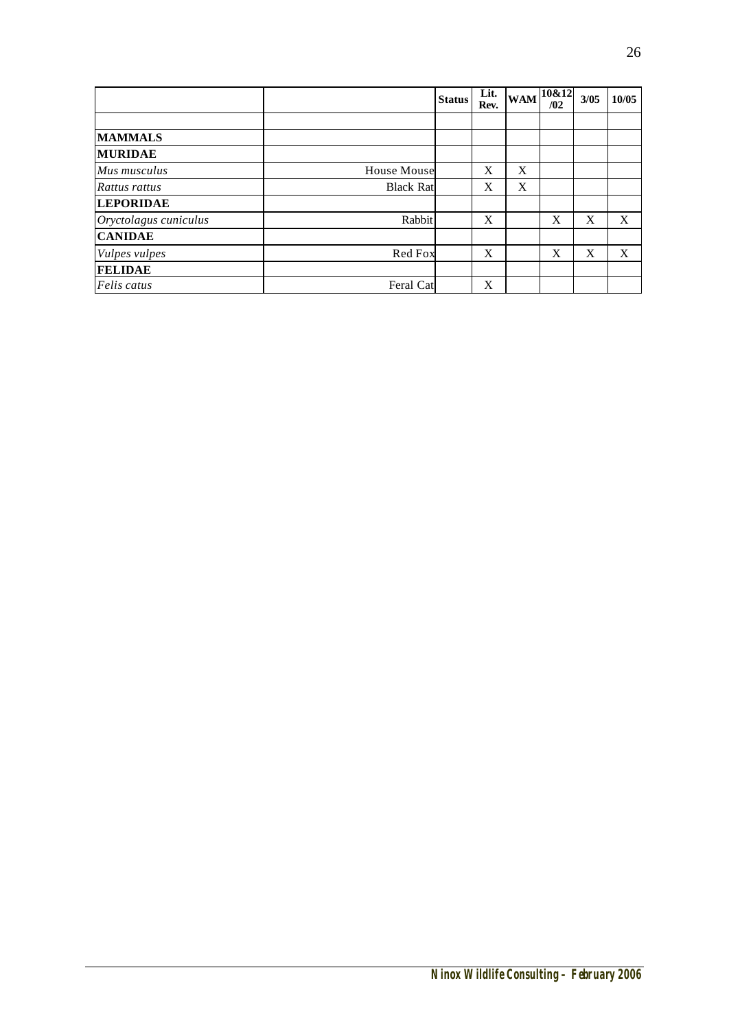|                       |                    | <b>Status</b> | Lit.<br>Rev. | <b>WAM</b> | 10&12<br>/02 | 3/05 | 10/05 |
|-----------------------|--------------------|---------------|--------------|------------|--------------|------|-------|
|                       |                    |               |              |            |              |      |       |
| <b>MAMMALS</b>        |                    |               |              |            |              |      |       |
| <b>MURIDAE</b>        |                    |               |              |            |              |      |       |
| Mus musculus          | <b>House Mouse</b> |               | X            | X          |              |      |       |
| Rattus rattus         | <b>Black Rat</b>   |               | X            | X          |              |      |       |
| <b>LEPORIDAE</b>      |                    |               |              |            |              |      |       |
| Oryctolagus cuniculus | Rabbit             |               | X            |            | X            | X    | X     |
| <b>CANIDAE</b>        |                    |               |              |            |              |      |       |
| Vulpes vulpes         | Red Fox            |               | X            |            | X            | X    | X     |
| <b>FELIDAE</b>        |                    |               |              |            |              |      |       |
| Felis catus           | Feral Cat          |               | X            |            |              |      |       |